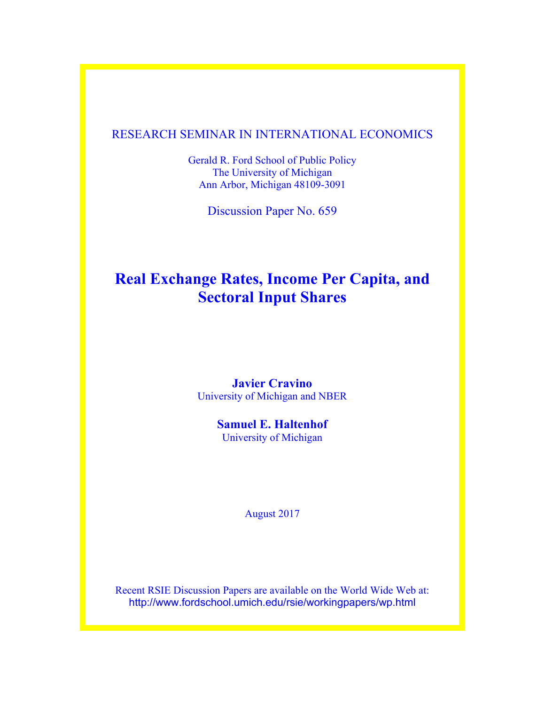## RESEARCH SEMINAR IN INTERNATIONAL ECONOMICS

Gerald R. Ford School of Public Policy The University of Michigan Ann Arbor, Michigan 48109-3091

Discussion Paper No. 659

# **Real Exchange Rates, Income Per Capita, and Sectoral Input Shares**

### **Javier Cravino** University of Michigan and NBER

### **Samuel E. Haltenhof** University of Michigan

August 2017

Recent RSIE Discussion Papers are available on the World Wide Web at: http://www.fordschool.umich.edu/rsie/workingpapers/wp.html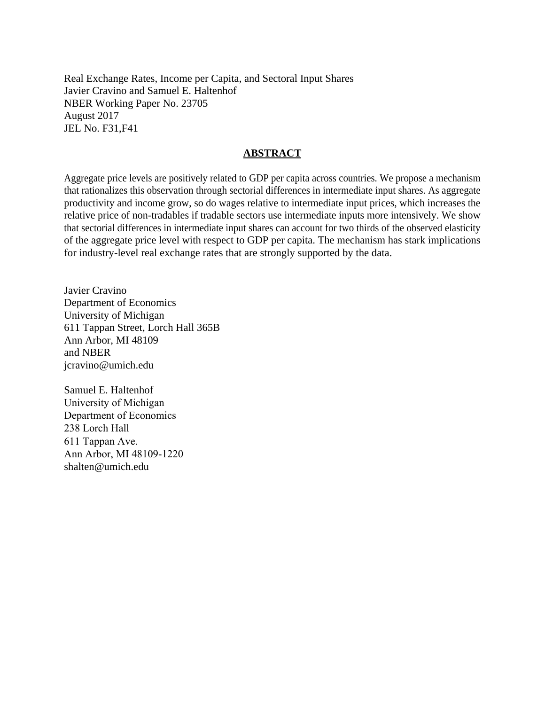Real Exchange Rates, Income per Capita, and Sectoral Input Shares Javier Cravino and Samuel E. Haltenhof NBER Working Paper No. 23705 August 2017 JEL No. F31,F41

#### **ABSTRACT**

Aggregate price levels are positively related to GDP per capita across countries. We propose a mechanism that rationalizes this observation through sectorial differences in intermediate input shares. As aggregate productivity and income grow, so do wages relative to intermediate input prices, which increases the relative price of non-tradables if tradable sectors use intermediate inputs more intensively. We show that sectorial differences in intermediate input shares can account for two thirds of the observed elasticity of the aggregate price level with respect to GDP per capita. The mechanism has stark implications for industry-level real exchange rates that are strongly supported by the data.

Javier Cravino Department of Economics University of Michigan 611 Tappan Street, Lorch Hall 365B Ann Arbor, MI 48109 and NBER jcravino@umich.edu

Samuel E. Haltenhof University of Michigan Department of Economics 238 Lorch Hall 611 Tappan Ave. Ann Arbor, MI 48109-1220 shalten@umich.edu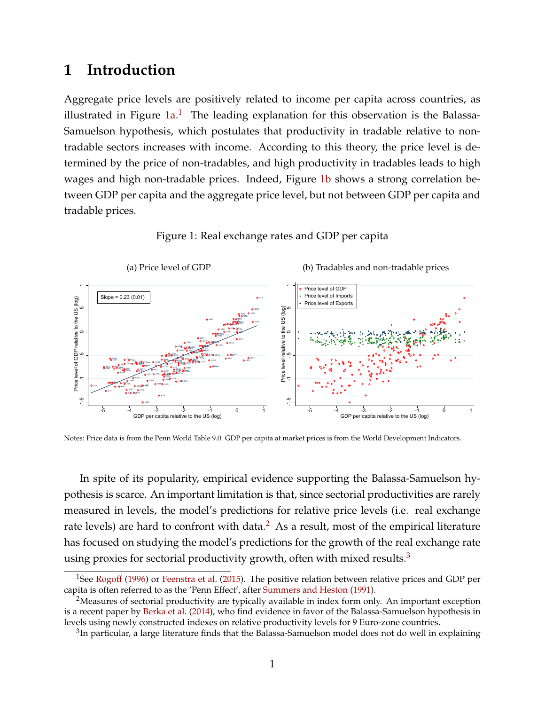## **1 Introduction**

Aggregate price levels are positively related to income per capita across countries, as illustrated in Figure  $1a.1$  $1a.1$  The leading explanation for this observation is the Balassa-Samuelson hypothesis, which postulates that productivity in tradable relative to nontradable sectors increases with income. According to this theory, the price level is determined by the price of non-tradables, and high productivity in tradables leads to high wages and high non-tradable prices. Indeed, Figure [1b](#page-2-2) shows a strong correlation between GDP per capita and the aggregate price level, but not between GDP per capita and tradable prices.

<span id="page-2-2"></span>Figure 1: Real exchange rates and GDP per capita

<span id="page-2-0"></span>

Notes: Price data is from the Penn World Table 9.0. GDP per capita at market prices is from the World Development Indicators.

In spite of its popularity, empirical evidence supporting the Balassa-Samuelson hypothesis is scarce. An important limitation is that, since sectorial productivities are rarely measured in levels, the model's predictions for relative price levels (i.e. real exchange rate levels) are hard to confront with data.<sup>[2](#page-2-3)</sup> As a result, most of the empirical literature has focused on studying the model's predictions for the growth of the real exchange rate using proxies for sectorial productivity growth, often with mixed results. $3$ 

<span id="page-2-1"></span><sup>&</sup>lt;sup>1</sup>See [Rogoff](#page-26-0) [\(1996\)](#page-26-0) or [Feenstra et al.](#page-25-0) [\(2015\)](#page-25-0). The positive relation between relative prices and GDP per capita is often referred to as the 'Penn Effect', after [Summers and Heston](#page-26-1) [\(1991\)](#page-26-1).

<span id="page-2-3"></span><sup>&</sup>lt;sup>2</sup>Measures of sectorial productivity are typically available in index form only. An important exception is a recent paper by [Berka et al.](#page-24-0) [\(2014\)](#page-24-0), who find evidence in favor of the Balassa-Samuelson hypothesis in levels using newly constructed indexes on relative productivity levels for 9 Euro-zone countries.

<span id="page-2-4"></span> ${}^{3}$ In particular, a large literature finds that the Balassa-Samuelson model does not do well in explaining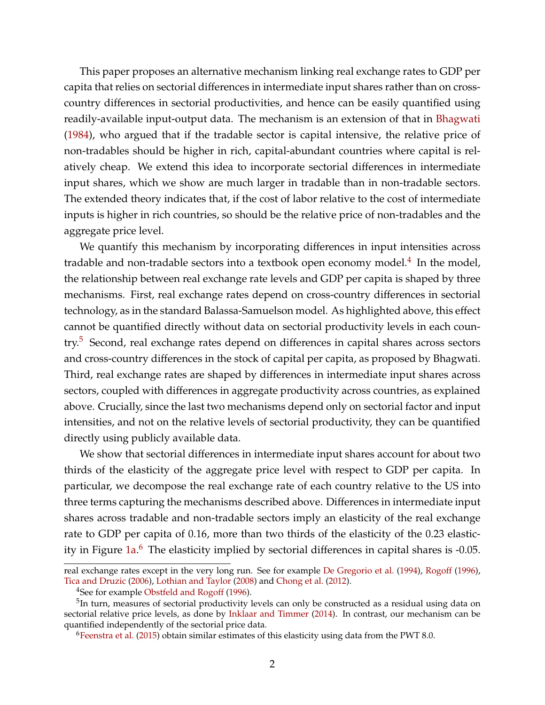This paper proposes an alternative mechanism linking real exchange rates to GDP per capita that relies on sectorial differences in intermediate input shares rather than on crosscountry differences in sectorial productivities, and hence can be easily quantified using readily-available input-output data. The mechanism is an extension of that in [Bhagwati](#page-24-1) [\(1984\)](#page-24-1), who argued that if the tradable sector is capital intensive, the relative price of non-tradables should be higher in rich, capital-abundant countries where capital is relatively cheap. We extend this idea to incorporate sectorial differences in intermediate input shares, which we show are much larger in tradable than in non-tradable sectors. The extended theory indicates that, if the cost of labor relative to the cost of intermediate inputs is higher in rich countries, so should be the relative price of non-tradables and the aggregate price level.

We quantify this mechanism by incorporating differences in input intensities across tradable and non-tradable sectors into a textbook open economy model.<sup>[4](#page-3-0)</sup> In the model, the relationship between real exchange rate levels and GDP per capita is shaped by three mechanisms. First, real exchange rates depend on cross-country differences in sectorial technology, as in the standard Balassa-Samuelson model. As highlighted above, this effect cannot be quantified directly without data on sectorial productivity levels in each coun-try.<sup>[5](#page-3-1)</sup> Second, real exchange rates depend on differences in capital shares across sectors and cross-country differences in the stock of capital per capita, as proposed by Bhagwati. Third, real exchange rates are shaped by differences in intermediate input shares across sectors, coupled with differences in aggregate productivity across countries, as explained above. Crucially, since the last two mechanisms depend only on sectorial factor and input intensities, and not on the relative levels of sectorial productivity, they can be quantified directly using publicly available data.

We show that sectorial differences in intermediate input shares account for about two thirds of the elasticity of the aggregate price level with respect to GDP per capita. In particular, we decompose the real exchange rate of each country relative to the US into three terms capturing the mechanisms described above. Differences in intermediate input shares across tradable and non-tradable sectors imply an elasticity of the real exchange rate to GDP per capita of 0.16, more than two thirds of the elasticity of the 0.23 elastic-ity in Figure [1a.](#page-2-0)<sup>[6](#page-3-2)</sup> The elasticity implied by sectorial differences in capital shares is -0.05.

real exchange rates except in the very long run. See for example [De Gregorio et al.](#page-25-1) [\(1994\)](#page-25-1), [Rogoff](#page-26-0) [\(1996\)](#page-26-0), [Tica and Druzic](#page-26-2) [\(2006\)](#page-26-2), [Lothian and Taylor](#page-25-2) [\(2008\)](#page-25-2) and [Chong et al.](#page-24-2) [\(2012\)](#page-24-2).

<span id="page-3-1"></span><span id="page-3-0"></span><sup>&</sup>lt;sup>4</sup>See for example [Obstfeld and Rogoff](#page-25-3) [\(1996\)](#page-25-3).

<sup>&</sup>lt;sup>5</sup>In turn, measures of sectorial productivity levels can only be constructed as a residual using data on sectorial relative price levels, as done by [Inklaar and Timmer](#page-25-4) [\(2014\)](#page-25-4). In contrast, our mechanism can be quantified independently of the sectorial price data.

<span id="page-3-2"></span><sup>6</sup>[Feenstra et al.](#page-25-0) [\(2015\)](#page-25-0) obtain similar estimates of this elasticity using data from the PWT 8.0.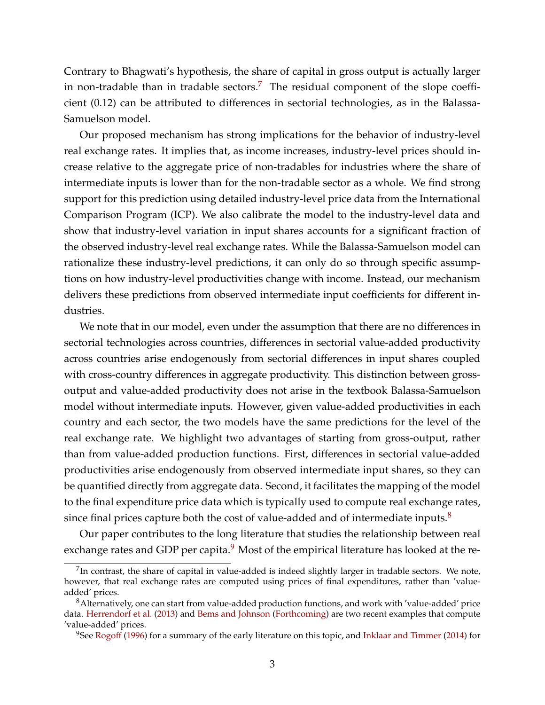Contrary to Bhagwati's hypothesis, the share of capital in gross output is actually larger in non-tradable than in tradable sectors.<sup>[7](#page-4-0)</sup> The residual component of the slope coefficient (0.12) can be attributed to differences in sectorial technologies, as in the Balassa-Samuelson model.

Our proposed mechanism has strong implications for the behavior of industry-level real exchange rates. It implies that, as income increases, industry-level prices should increase relative to the aggregate price of non-tradables for industries where the share of intermediate inputs is lower than for the non-tradable sector as a whole. We find strong support for this prediction using detailed industry-level price data from the International Comparison Program (ICP). We also calibrate the model to the industry-level data and show that industry-level variation in input shares accounts for a significant fraction of the observed industry-level real exchange rates. While the Balassa-Samuelson model can rationalize these industry-level predictions, it can only do so through specific assumptions on how industry-level productivities change with income. Instead, our mechanism delivers these predictions from observed intermediate input coefficients for different industries.

We note that in our model, even under the assumption that there are no differences in sectorial technologies across countries, differences in sectorial value-added productivity across countries arise endogenously from sectorial differences in input shares coupled with cross-country differences in aggregate productivity. This distinction between grossoutput and value-added productivity does not arise in the textbook Balassa-Samuelson model without intermediate inputs. However, given value-added productivities in each country and each sector, the two models have the same predictions for the level of the real exchange rate. We highlight two advantages of starting from gross-output, rather than from value-added production functions. First, differences in sectorial value-added productivities arise endogenously from observed intermediate input shares, so they can be quantified directly from aggregate data. Second, it facilitates the mapping of the model to the final expenditure price data which is typically used to compute real exchange rates, since final prices capture both the cost of value-added and of intermediate inputs. $8$ 

Our paper contributes to the long literature that studies the relationship between real exchange rates and GDP per capita. $9$  Most of the empirical literature has looked at the re-

<span id="page-4-0"></span> $^{7}$ In contrast, the share of capital in value-added is indeed slightly larger in tradable sectors. We note, however, that real exchange rates are computed using prices of final expenditures, rather than 'valueadded' prices.

<span id="page-4-1"></span><sup>8</sup>Alternatively, one can start from value-added production functions, and work with 'value-added' price data. [Herrendorf et al.](#page-25-5) [\(2013\)](#page-25-5) and [Bems and Johnson](#page-24-3) [\(Forthcoming\)](#page-24-3) are two recent examples that compute 'value-added' prices.

<span id="page-4-2"></span><sup>&</sup>lt;sup>9</sup>See [Rogoff](#page-26-0) [\(1996\)](#page-26-0) for a summary of the early literature on this topic, and [Inklaar and Timmer](#page-25-4) [\(2014\)](#page-25-4) for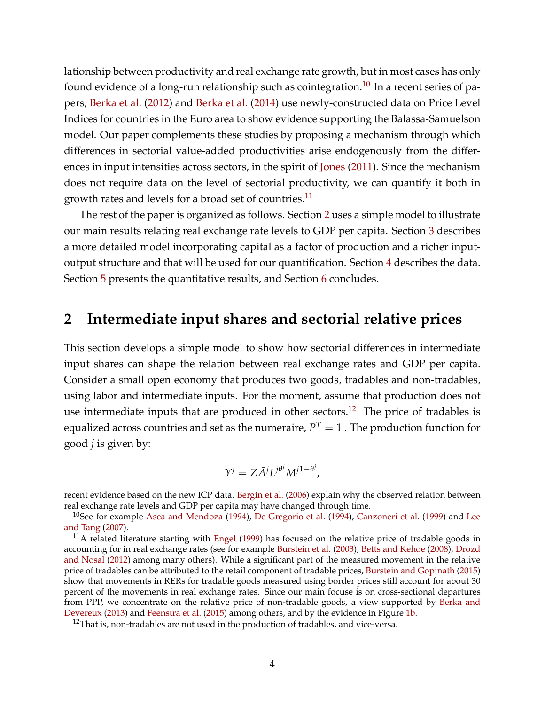lationship between productivity and real exchange rate growth, but in most cases has only found evidence of a long-run relationship such as cointegration.<sup>[10](#page-5-0)</sup> In a recent series of papers, [Berka et al.](#page-24-4) [\(2012\)](#page-24-4) and [Berka et al.](#page-24-0) [\(2014\)](#page-24-0) use newly-constructed data on Price Level Indices for countries in the Euro area to show evidence supporting the Balassa-Samuelson model. Our paper complements these studies by proposing a mechanism through which differences in sectorial value-added productivities arise endogenously from the differences in input intensities across sectors, in the spirit of [Jones](#page-25-6) [\(2011\)](#page-25-6). Since the mechanism does not require data on the level of sectorial productivity, we can quantify it both in growth rates and levels for a broad set of countries.<sup>[11](#page-5-1)</sup>

The rest of the paper is organized as follows. Section [2](#page-5-2) uses a simple model to illustrate our main results relating real exchange rate levels to GDP per capita. Section [3](#page-8-0) describes a more detailed model incorporating capital as a factor of production and a richer inputoutput structure and that will be used for our quantification. Section [4](#page-12-0) describes the data. Section [5](#page-14-0) presents the quantitative results, and Section [6](#page-23-0) concludes.

## <span id="page-5-2"></span>**2 Intermediate input shares and sectorial relative prices**

This section develops a simple model to show how sectorial differences in intermediate input shares can shape the relation between real exchange rates and GDP per capita. Consider a small open economy that produces two goods, tradables and non-tradables, using labor and intermediate inputs. For the moment, assume that production does not use intermediate inputs that are produced in other sectors.<sup>[12](#page-5-3)</sup> The price of tradables is equalized across countries and set as the numeraire,  $P^T=1$  . The production function for good *j* is given by:

$$
Y^j = Z\overline{A}^j L^{j\theta^j} M^{j1-\theta^j},
$$

recent evidence based on the new ICP data. [Bergin et al.](#page-24-5) [\(2006\)](#page-24-5) explain why the observed relation between real exchange rate levels and GDP per capita may have changed through time.

<span id="page-5-0"></span><sup>&</sup>lt;sup>10</sup>See for example [Asea and Mendoza](#page-23-1) [\(1994\)](#page-25-1), [De Gregorio et al.](#page-25-1) (1994), [Canzoneri et al.](#page-24-6) [\(1999\)](#page-24-6) and [Lee](#page-25-7) [and Tang](#page-25-7) [\(2007\)](#page-25-7).

<span id="page-5-1"></span> $11A$  related literature starting with [Engel](#page-25-8) [\(1999\)](#page-25-8) has focused on the relative price of tradable goods in accounting for in real exchange rates (see for example [Burstein et al.](#page-24-7) [\(2003\)](#page-24-7), [Betts and Kehoe](#page-24-8) [\(2008\)](#page-24-8), [Drozd](#page-25-9) [and Nosal](#page-25-9) [\(2012\)](#page-25-9) among many others). While a significant part of the measured movement in the relative price of tradables can be attributed to the retail component of tradable prices, [Burstein and Gopinath](#page-24-9) [\(2015\)](#page-24-9) show that movements in RERs for tradable goods measured using border prices still account for about 30 percent of the movements in real exchange rates. Since our main focuse is on cross-sectional departures from PPP, we concentrate on the relative price of non-tradable goods, a view supported by [Berka and](#page-24-10) [Devereux](#page-24-10) [\(2013\)](#page-24-10) and [Feenstra et al.](#page-25-0) [\(2015\)](#page-25-0) among others, and by the evidence in Figure [1b.](#page-2-2)

<span id="page-5-3"></span> $12$ That is, non-tradables are not used in the production of tradables, and vice-versa.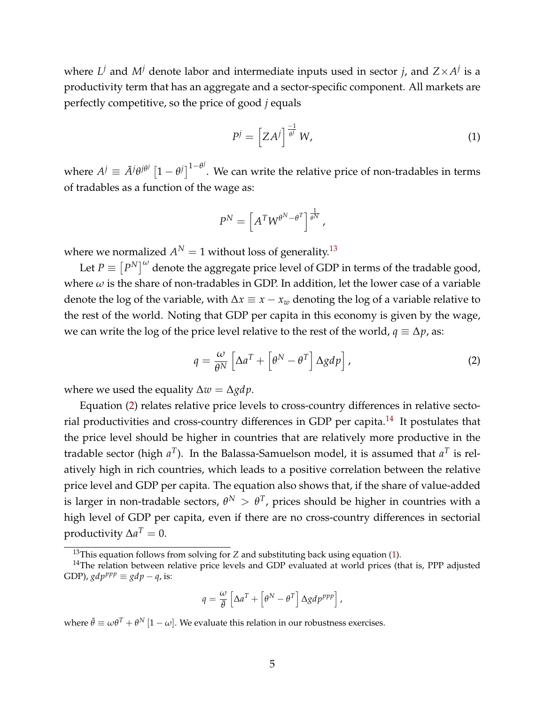where  $L^j$  and  $M^j$  denote labor and intermediate inputs used in sector *j*, and  $Z \times A^j$  is a productivity term that has an aggregate and a sector-specific component. All markets are perfectly competitive, so the price of good *j* equals

<span id="page-6-3"></span>
$$
P^j = \left[ Z A^j \right]^\frac{-1}{\theta^j} W,\tag{1}
$$

where  $A^j \equiv \bar{A}^j \theta^{j \theta^j} \left[1-\theta^j\right]^{1-\theta^j}$ . We can write the relative price of non-tradables in terms of tradables as a function of the wage as:

$$
P^N = \left[A^T W^{\theta^N - \theta^T}\right]^{\frac{1}{\theta^N}},
$$

where we normalized  $A^N = 1$  without loss of generality.<sup>[13](#page-6-0)</sup>

Let  $P \equiv \left\lceil P^N \right\rceil^\omega$  denote the aggregate price level of GDP in terms of the tradable good, where  $\omega$  is the share of non-tradables in GDP. In addition, let the lower case of a variable denote the log of the variable, with  $\Delta x \equiv x - x_w$  denoting the log of a variable relative to the rest of the world. Noting that GDP per capita in this economy is given by the wage, we can write the log of the price level relative to the rest of the world,  $q \equiv \Delta p$ , as:

<span id="page-6-1"></span>
$$
q = \frac{\omega}{\theta^N} \left[ \Delta a^T + \left[ \theta^N - \theta^T \right] \Delta g dp \right],
$$
 (2)

where we used the equality ∆*w* = ∆*gdp*.

Equation [\(2\)](#page-6-1) relates relative price levels to cross-country differences in relative secto-rial productivities and cross-country differences in GDP per capita.<sup>[14](#page-6-2)</sup> It postulates that the price level should be higher in countries that are relatively more productive in the tradable sector (high  $a^T$ ). In the Balassa-Samuelson model, it is assumed that  $a^T$  is relatively high in rich countries, which leads to a positive correlation between the relative price level and GDP per capita. The equation also shows that, if the share of value-added is larger in non-tradable sectors,  $\theta^N > \theta^T$ , prices should be higher in countries with a high level of GDP per capita, even if there are no cross-country differences in sectorial productivity  $\Delta a^T = 0$ .

$$
q = \frac{\omega}{\bar{\theta}} \left[ \Delta a^T + \left[ \theta^N - \theta^T \right] \Delta g dp^{ppp} \right],
$$

where  $\bar{\theta}\equiv\omega\theta^T+\theta^N\left[1-\omega\right]$ . We evaluate this relation in our robustness exercises.

<span id="page-6-2"></span><span id="page-6-0"></span><sup>&</sup>lt;sup>13</sup>This equation follows from solving for *Z* and substituting back using equation [\(1\)](#page-6-3).

 $14$ The relation between relative price levels and GDP evaluated at world prices (that is, PPP adjusted GDP),  $gdp^{pp} \equiv gdp - q$ , is: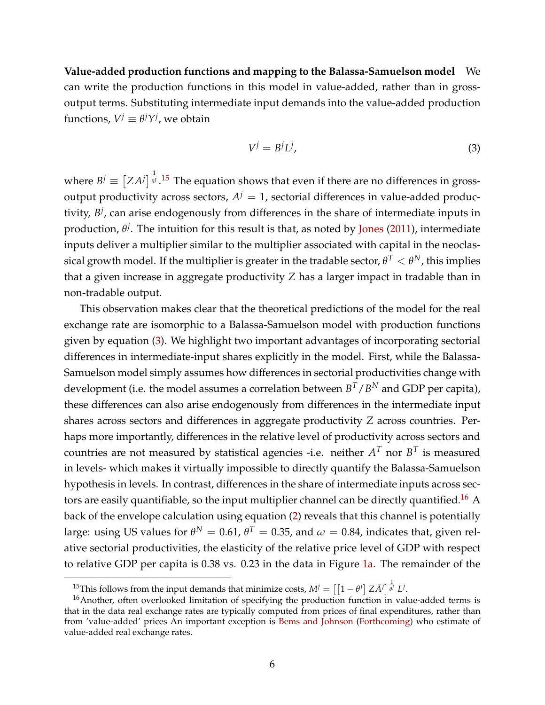**Value-added production functions and mapping to the Balassa-Samuelson model** We can write the production functions in this model in value-added, rather than in grossoutput terms. Substituting intermediate input demands into the value-added production functions,  $V^j \equiv \theta^j Y^j$ , we obtain

<span id="page-7-1"></span>
$$
V^j = B^j L^j,\tag{3}
$$

where  $B^j \equiv \left[ Z A^j \right]_0^{\frac{1}{\theta^j}}$ *θ j* . [15](#page-7-0) The equation shows that even if there are no differences in grossoutput productivity across sectors,  $A^j = 1$ , sectorial differences in value-added productivity,  $B^j$ , can arise endogenously from differences in the share of intermediate inputs in production, *θ j* . The intuition for this result is that, as noted by [Jones](#page-25-6) [\(2011\)](#page-25-6), intermediate inputs deliver a multiplier similar to the multiplier associated with capital in the neoclassical growth model. If the multiplier is greater in the tradable sector,  $\theta^T<\theta^N$ , this implies that a given increase in aggregate productivity *Z* has a larger impact in tradable than in non-tradable output.

This observation makes clear that the theoretical predictions of the model for the real exchange rate are isomorphic to a Balassa-Samuelson model with production functions given by equation [\(3\)](#page-7-1). We highlight two important advantages of incorporating sectorial differences in intermediate-input shares explicitly in the model. First, while the Balassa-Samuelson model simply assumes how differences in sectorial productivities change with development (i.e. the model assumes a correlation between  $B^T/B^N$  and GDP per capita), these differences can also arise endogenously from differences in the intermediate input shares across sectors and differences in aggregate productivity *Z* across countries. Perhaps more importantly, differences in the relative level of productivity across sectors and countries are not measured by statistical agencies -i.e. neither  $A^T$  nor  $B^T$  is measured in levels- which makes it virtually impossible to directly quantify the Balassa-Samuelson hypothesis in levels. In contrast, differences in the share of intermediate inputs across sec-tors are easily quantifiable, so the input multiplier channel can be directly quantified.<sup>[16](#page-7-2)</sup> A back of the envelope calculation using equation [\(2\)](#page-6-1) reveals that this channel is potentially large: using US values for  $\theta^N=0.61$ ,  $\theta^T=0.35$ , and  $\omega=0.84$ , indicates that, given relative sectorial productivities, the elasticity of the relative price level of GDP with respect to relative GDP per capita is 0.38 vs. 0.23 in the data in Figure [1a.](#page-2-0) The remainder of the

<span id="page-7-2"></span><span id="page-7-0"></span><sup>&</sup>lt;sup>15</sup>This follows from the input demands that minimize costs,  $M^j = \left[ \left[ 1 - \theta^j \right] Z \tilde{A}^j \right]_{}^{\frac{1}{\theta^j}} L^j.$ 

 $16$ Another, often overlooked limitation of specifying the production function in value-added terms is that in the data real exchange rates are typically computed from prices of final expenditures, rather than from 'value-added' prices An important exception is [Bems and Johnson](#page-24-3) [\(Forthcoming\)](#page-24-3) who estimate of value-added real exchange rates.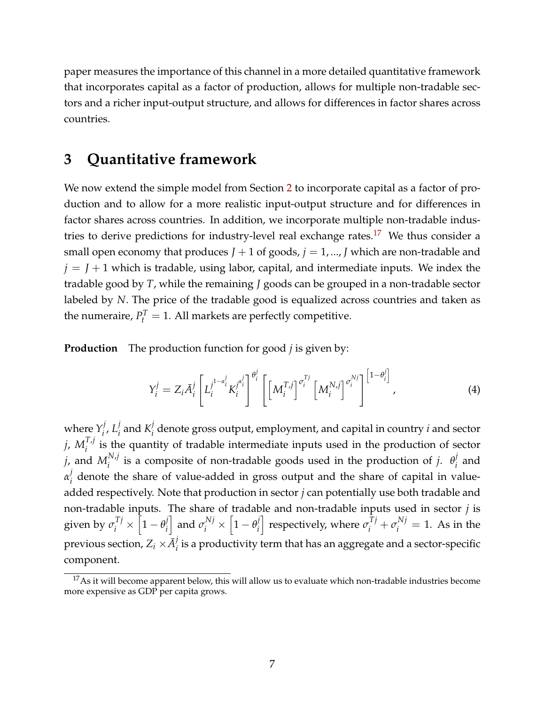paper measures the importance of this channel in a more detailed quantitative framework that incorporates capital as a factor of production, allows for multiple non-tradable sectors and a richer input-output structure, and allows for differences in factor shares across countries.

## <span id="page-8-0"></span>**3 Quantitative framework**

We now extend the simple model from Section [2](#page-5-2) to incorporate capital as a factor of production and to allow for a more realistic input-output structure and for differences in factor shares across countries. In addition, we incorporate multiple non-tradable indus-tries to derive predictions for industry-level real exchange rates.<sup>[17](#page-8-1)</sup> We thus consider a small open economy that produces  $J + 1$  of goods,  $j = 1, ..., J$  which are non-tradable and  $j = J + 1$  which is tradable, using labor, capital, and intermediate inputs. We index the tradable good by *T*, while the remaining *J* goods can be grouped in a non-tradable sector labeled by *N*. The price of the tradable good is equalized across countries and taken as the numeraire,  $P_t^T = 1$ . All markets are perfectly competitive.

**Production** The production function for good *j* is given by:

$$
Y_i^j = Z_i \bar{A}_i^j \left[ L_i^{j^{1-\alpha_i^j}} K_i^{j^{\alpha_i^j}} \right]^{\theta_i^j} \left[ \left[ M_i^{T,j} \right]^{\sigma_i^{Tj}} \left[ M_i^{N,j} \right]^{\sigma_i^{Nj}} \right]^{ \left[ 1-\theta_i^j \right]}, \tag{4}
$$

where  $Y_i^j$  $i$ <sup>*,*</sup> $L_i^j$  $\frac{j}{i}$  and  $K_i^j$ *i* denote gross output, employment, and capital in country *i* and sector  $j$ ,  $M_i^{T,j}$  $\int_{i}^{i}$  is the quantity of tradable intermediate inputs used in the production of sector  $j$ , and  $M^{N,j}_i$  $i^{N,j}$  is a composite of non-tradable goods used in the production of *j*.  $\theta_i^j$  $i$ <sup> $'$ </sup> and *α j*  $\mathbf y_i^{\prime}$  denote the share of value-added in gross output and the share of capital in valueadded respectively. Note that production in sector *j* can potentially use both tradable and non-tradable inputs. The share of tradable and non-tradable inputs used in sector *j* is given by  $\sigma_i^{Tj} \times \left[1 - \theta_i^j\right]$ *i*  $\left[1 - \theta_i^j\right]$  and  $\sigma_i^{Nj} \times \left[1 - \theta_i^j\right]$ *i*  $\int$  respectively, where  $\sigma_i^{Tj} + \sigma_i^{Nj} = 1$ . As in the previous section,  $Z_i \times \bar{A}_i^j$  $\mathcal{C}_i$  is a productivity term that has an aggregate and a sector-specific component.

<span id="page-8-1"></span> $17$ As it will become apparent below, this will allow us to evaluate which non-tradable industries become more expensive as GDP per capita grows.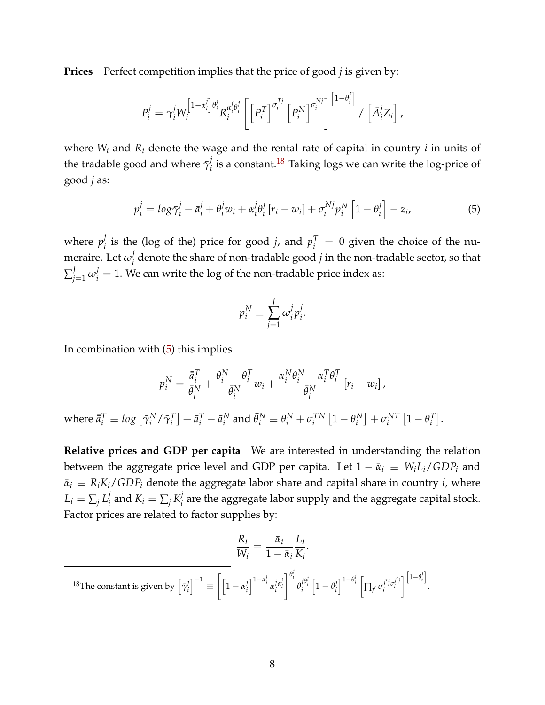**Prices** Perfect competition implies that the price of good *j* is given by:

$$
P_i^j = \bar{\gamma}_i^j W_i^{\left[1-\alpha_i^j\right]\theta_i^j} R_i^{\alpha_i^j \theta_i^j} \left[ \left[P_i^T\right]^{\sigma_i^{Tj}} \left[P_i^N\right]^{\sigma_i^{Nj}} \right]^{ \left[1-\theta_i^j\right]} / \left[\bar{A}_i^j Z_i\right],
$$

where  $W_i$  and  $R_i$  denote the wage and the rental rate of capital in country *i* in units of the tradable good and where  $\bar{\gamma}^j_i$  $\mathbf{z}_i^j$  is a constant. $^{18}$  $^{18}$  $^{18}$  Taking logs we can write the log-price of good *j* as:

$$
p_i^j = \log \bar{\gamma}_i^j - \bar{a}_i^j + \theta_i^j w_i + \alpha_i^j \theta_i^j \left[ r_i - w_i \right] + \sigma_i^{Nj} p_i^N \left[ 1 - \theta_i^j \right] - z_i,
$$
\n
$$
\tag{5}
$$

where  $p_i^j$  $p_i^j$  is the (log of the) price for good *j*, and  $p_i^T = 0$  given the choice of the numeraire. Let  $\omega_i^j$ *i* denote the share of non-tradable good *j* in the non-tradable sector, so that  $\sum_{j=1}^J \omega_i^j=1.$  We can write the log of the non-tradable price index as:

<span id="page-9-1"></span>
$$
p_i^N \equiv \sum_{j=1}^J \omega_i^j p_i^j.
$$

In combination with  $(5)$  this implies

$$
p_i^N = \frac{\bar{a}_i^T}{\bar{\theta}_i^N} + \frac{\theta_i^N - \theta_i^T}{\bar{\theta}_i^N} w_i + \frac{\alpha_i^N \theta_i^N - \alpha_i^T \theta_i^T}{\bar{\theta}_i^N} [r_i - w_i],
$$

where  $\bar{\bar{a}}_{i}^{T} \equiv log\left[\bar{\gamma}_{i}^{N}\right]$  $\sum_{i}^{N}/\bar{\gamma}_i^T$  $\left[ \begin{matrix} T \\ i \end{matrix} \right] + \bar{a}_i^T - \bar{a}_i^N$  $\theta_i^N$  and  $\bar{\theta}_i^N \equiv \theta_i^N + \sigma_i^{TN}$  $\int_i^{TN} \left[1-\theta_i^N\right]$  $\begin{bmatrix} N \\ i \end{bmatrix} + \sigma_i^{NT}$  $\frac{1}{i}^{NT}$   $\left[1 - \theta_i^T\right]$  $\left[\begin{matrix}T\\i\end{matrix}\right]$ .

**Relative prices and GDP per capita** We are interested in understanding the relation between the aggregate price level and GDP per capita. Let  $1 - \bar{\alpha}_i \equiv W_i L_i / GDP_i$  and  $\bar{\alpha}_i \equiv R_i K_i / GDP_i$  denote the aggregate labor share and capital share in country *i*, where  $L_i = \sum_j L_i^j$  $\sum_{i}^{j}$  and  $K_{i} = \sum_{j} K_{i}^{j}$ *i* are the aggregate labor supply and the aggregate capital stock. Factor prices are related to factor supplies by:

<span id="page-9-0"></span>
$$
\frac{R_i}{W_i} = \frac{\bar{\alpha}_i}{1 - \bar{\alpha}_i} \frac{L_i}{K_i}.
$$
\n<sup>18</sup>The constant is given by  $\left[\bar{\gamma}_i^j\right]^{-1} \equiv \left[\left[1 - \alpha_i^j\right]^{1 - \alpha_i^j} \alpha_i^{j \alpha_i^j}\right]^{\theta_i^j} \theta_i^{j \theta_i^j} \left[1 - \theta_i^j\right]^{1 - \theta_i^j} \left[\prod_{j'} \sigma_i^{j' j} \sigma_i^{j' j}\right]^{\left[1 - \theta_i^j\right]}.$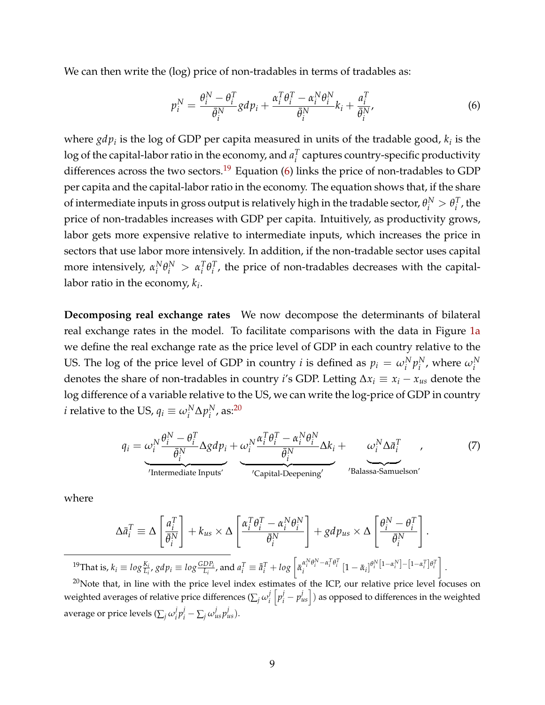We can then write the (log) price of non-tradables in terms of tradables as:

<span id="page-10-1"></span>
$$
p_i^N = \frac{\theta_i^N - \theta_i^T}{\bar{\theta}_i^N} g d p_i + \frac{\alpha_i^T \theta_i^T - \alpha_i^N \theta_i^N}{\bar{\theta}_i^N} k_i + \frac{a_i^T}{\bar{\theta}_i^N},
$$
(6)

where  $gdp_i$  is the log of GDP per capita measured in units of the tradable good,  $k_i$  is the  $\log$  of the capital-labor ratio in the economy, and  $a_i^T$ *i* captures country-specific productivity differences across the two sectors.<sup>[19](#page-10-0)</sup> Equation [\(6\)](#page-10-1) links the price of non-tradables to GDP per capita and the capital-labor ratio in the economy. The equation shows that, if the share of intermediate inputs in gross output is relatively high in the tradable sector,  $\theta_i^N > \theta_i^T$  $i<sup>I</sup>$ , the price of non-tradables increases with GDP per capita. Intuitively, as productivity grows, labor gets more expensive relative to intermediate inputs, which increases the price in sectors that use labor more intensively. In addition, if the non-tradable sector uses capital more intensively,  $α<sub>i</sub><sup>N</sup>$  $\alpha_i^N \theta_i^N > \alpha_i^T$ *i θ T i* , the price of non-tradables decreases with the capitallabor ratio in the economy, *k<sup>i</sup>* .

**Decomposing real exchange rates** We now decompose the determinants of bilateral real exchange rates in the model. To facilitate comparisons with the data in Figure [1a](#page-2-0) we define the real exchange rate as the price level of GDP in each country relative to the US. The log of the price level of GDP in country *i* is defined as  $p_i = \omega_i^N p_i^N$  $_i^N$ , where  $\omega_i^N$ denotes the share of non-tradables in country *i*'s GDP. Letting  $\Delta x_i \equiv x_i - x_{us}$  denote the log difference of a variable relative to the US, we can write the log-price of GDP in country *i* relative to the US,  $q_i \equiv \omega_i^N \Delta p_i^N$  $_i^N$ , as: $20$ 

<span id="page-10-3"></span>
$$
q_i = \underbrace{\omega_i^N \frac{\theta_i^N - \theta_i^T}{\bar{\theta}_i^N} \Delta g d p_i}_{\text{Intermediate inputs'}} + \underbrace{\omega_i^N \frac{\alpha_i^T \theta_i^T - \alpha_i^N \theta_i^N}{\bar{\theta}_i^N} \Delta k_i}_{\text{'Capital-Deepening'}} + \underbrace{\omega_i^N \Delta \bar{a}_i^T}_{\text{'Balassa-Samuelson'}}
$$
(7)

where

$$
\Delta \bar{a}_i^T \equiv \Delta \left[ \frac{a_i^T}{\bar{\theta}_i^N} \right] + k_{us} \times \Delta \left[ \frac{\alpha_i^T \theta_i^T - \alpha_i^N \theta_i^N}{\bar{\theta}_i^N} \right] + gdp_{us} \times \Delta \left[ \frac{\theta_i^N - \theta_i^T}{\bar{\theta}_i^N} \right].
$$
  
\n
$$
k = \log \frac{K_i}{\bar{\theta}_i^N} \text{ and } \bar{a}^T = \bar{a}^T + \log \left[ \pi \frac{\alpha_i^N \theta_i^N - \alpha_i^T \theta_i^T}{\bar{\theta}_i^N} \left[ 1 - \pi \frac{\alpha_i^N \theta_i^N - \alpha_i^T \theta_i^T}{\bar{\theta}_i^N} \right] - \frac{\alpha_i^N \theta_i^N}{\bar{\theta}_i^N} \right].
$$

<span id="page-10-0"></span><sup>19</sup>That is,  $k_i \equiv log \frac{K_i}{L_i}$ ,  $gdp_i \equiv log \frac{GDP_i}{L_i}$ , and  $a_i^T \equiv \bar{a}_i^T + log \left[ \bar{\alpha}_i^{\alpha_i^N \theta_i^N - \alpha_i^T \theta_i^T} \left[ 1 - \bar{\alpha}_i \right] ^{\theta_i^N \left[ 1 - \alpha_i^N \right]} - \left[ 1 - \alpha_i \right ] ^{\theta_i^N \left[ 1 - \alpha_i^N \right]}$ *i i* 1 . <sup>20</sup>Note that, in line with the price level index estimates of the ICP, our relative price level focuses on

<span id="page-10-2"></span>weighted averages of relative price differences ( $\sum_j \omega_i^j$  $\int\limits_{i}^{j}\left[p^{j}_{i}-p^{j}_{us}\right]$  ) as opposed to differences in the weighted average or price levels ( $\sum_j \omega_i^j$  $j$ <sub>*i*</sub> $p$ <sup>*j*</sup><sub>*i*</sub>  $-\sum$ <sub>*j*</sub>  $\omega$ <sup>*j*</sup><sub>*us*</sub> $p$ <sup>*j*</sup><sub>*us*</sub> $).$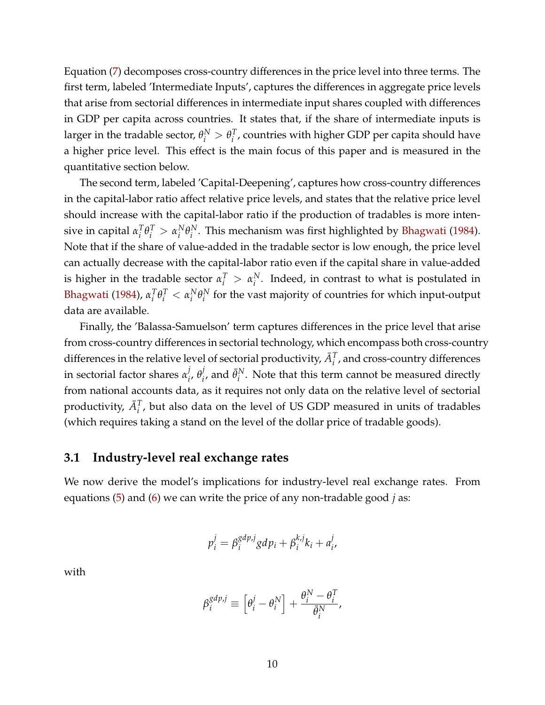Equation [\(7\)](#page-10-3) decomposes cross-country differences in the price level into three terms. The first term, labeled 'Intermediate Inputs', captures the differences in aggregate price levels that arise from sectorial differences in intermediate input shares coupled with differences in GDP per capita across countries. It states that, if the share of intermediate inputs is larger in the tradable sector,  $\theta_i^N > \theta_i^T$ *i* , countries with higher GDP per capita should have a higher price level. This effect is the main focus of this paper and is measured in the quantitative section below.

The second term, labeled 'Capital-Deepening', captures how cross-country differences in the capital-labor ratio affect relative price levels, and states that the relative price level should increase with the capital-labor ratio if the production of tradables is more intensive in capital  $\alpha_i^T$  $\int_i^T \theta_i^T > \alpha_i^N$  $i^N \theta_i^N$ *i* . This mechanism was first highlighted by [Bhagwati](#page-24-1) [\(1984\)](#page-24-1). Note that if the share of value-added in the tradable sector is low enough, the price level can actually decrease with the capital-labor ratio even if the capital share in value-added is higher in the tradable sector  $\alpha_i^T > \alpha_i^N$  $i<sup>N</sup>$ . Indeed, in contrast to what is postulated in [Bhagwati](#page-24-1) [\(1984\)](#page-24-1), *α T*  $\int_i^T \theta_i^T < \alpha_i^N$  $i^N \theta_i^N$  $i<sup>N</sup>$  for the vast majority of countries for which input-output data are available.

Finally, the 'Balassa-Samuelson' term captures differences in the price level that arise from cross-country differences in sectorial technology, which encompass both cross-country differences in the relative level of sectorial productivity,  $\bar{A}_i^T$ , and cross-country differences in sectorial factor shares *α j i* , *θ j*  $\bar{\theta}_i^j$ , and  $\bar{\theta}_i^N$  $i<sup>N</sup>$ . Note that this term cannot be measured directly from national accounts data, as it requires not only data on the relative level of sectorial productivity,  $\bar{A}_i^T$ , but also data on the level of US GDP measured in units of tradables (which requires taking a stand on the level of the dollar price of tradable goods).

## **3.1 Industry-level real exchange rates**

We now derive the model's implications for industry-level real exchange rates. From equations [\(5\)](#page-9-1) and [\(6\)](#page-10-1) we can write the price of any non-tradable good *j* as:

$$
p_i^j = \beta_i^{gdp,j} gdp_i + \beta_i^{k,j} k_i + a_i^j,
$$

with

$$
\beta_i^{gdp,j} \equiv \left[\theta_i^j - \theta_i^N\right] + \frac{\theta_i^N - \theta_i^T}{\bar{\theta}_i^N},
$$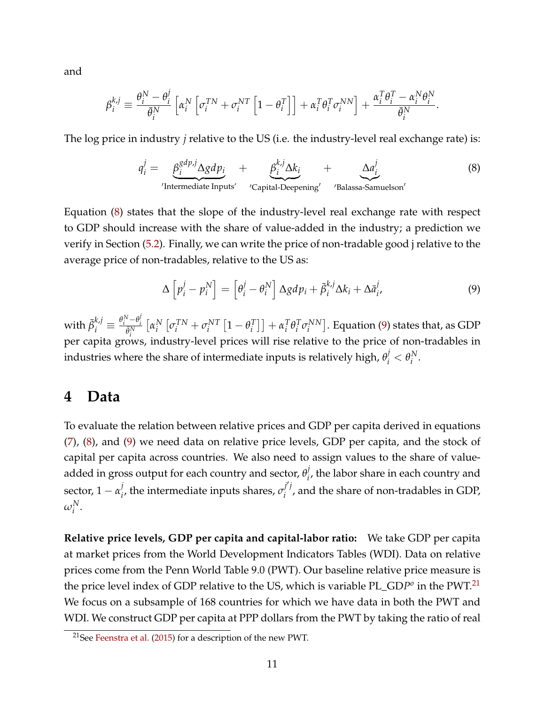and

$$
\beta_i^{k,j} \equiv \frac{\theta_i^N - \theta_i^j}{\bar{\theta}_i^N} \left[ \alpha_i^N \left[ \sigma_i^{TN} + \sigma_i^{NT} \left[ 1 - \theta_i^T \right] \right] + \alpha_i^T \theta_i^T \sigma_i^{NN} \right] + \frac{\alpha_i^T \theta_i^T - \alpha_i^N \theta_i^N}{\bar{\theta}_i^N}.
$$

The log price in industry *j* relative to the US (i.e. the industry-level real exchange rate) is:

<span id="page-12-1"></span>
$$
q_i^j = \underbrace{\beta_i^{gdp,j} \Delta gdp_i}_{\text{'Intermediate inputs'}} + \underbrace{\beta_i^{k,j} \Delta k_i}_{\text{'Capital-Deepening'}} + \underbrace{\Delta a_i^j}_{\text{'Balassa-Samuelson'}}
$$
(8)

Equation [\(8\)](#page-12-1) states that the slope of the industry-level real exchange rate with respect to GDP should increase with the share of value-added in the industry; a prediction we verify in Section [\(5.2\)](#page-16-0). Finally, we can write the price of non-tradable good j relative to the average price of non-tradables, relative to the US as:

<span id="page-12-2"></span>
$$
\Delta \left[ p_i^j - p_i^N \right] = \left[ \theta_i^j - \theta_i^N \right] \Delta g dp_i + \bar{\beta}_i^{k,j} \Delta k_i + \Delta \bar{a}_i^j,
$$
\n(9)

 $\text{with } \bar{\beta}_i^{k,j} \equiv \frac{\theta_i^N - \theta_i^j}{\bar{\theta}_i^N}$  $\frac{\overline{\theta}_i^N}{\overline{\theta}_i^N}$  $\left[\alpha_i^N\right]$  $\int_i^N \left[ \sigma_i^{TN} + \sigma_i^{NT} \right]$  $\frac{1}{i}$ <sup>*NT*</sup>  $\left[1 - \theta_i^T\right]$  $\begin{bmatrix} T \\ i \end{bmatrix}$  +  $\alpha_i^T$ *i θ T*  $T_i^T \sigma_i^{NN}$  $\binom{NN}{i}$ . Equation [\(9\)](#page-12-2) states that, as GDP per capita grows, industry-level prices will rise relative to the price of non-tradables in industries where the share of intermediate inputs is relatively high,  $\theta_i^j < \theta_i^N$ *i* .

## <span id="page-12-0"></span>**4 Data**

To evaluate the relation between relative prices and GDP per capita derived in equations [\(7\)](#page-10-3), [\(8\)](#page-12-1), and [\(9\)](#page-12-2) we need data on relative price levels, GDP per capita, and the stock of capital per capita across countries. We also need to assign values to the share of valueadded in gross output for each country and sector,  $\theta_i^j$ *i* , the labor share in each country and sector,  $1-\alpha_i^j$  $\sigma_i^j$ , the intermediate inputs shares,  $\sigma_i^{j'j'}$  $\mathcal{F}_i^{\prime}$ , and the share of non-tradables in GDP,  $ω<sub>i</sub><sup>N</sup>$ .

**Relative price levels, GDP per capita and capital-labor ratio:** We take GDP per capita at market prices from the World Development Indicators Tables (WDI). Data on relative prices come from the Penn World Table 9.0 (PWT). Our baseline relative price measure is the price level index of GDP relative to the US, which is variable PL\_GD*P<sup>o</sup>* in the PWT.<sup>[21](#page-12-3)</sup> We focus on a subsample of 168 countries for which we have data in both the PWT and WDI. We construct GDP per capita at PPP dollars from the PWT by taking the ratio of real

<span id="page-12-3"></span><sup>21</sup>See [Feenstra et al.](#page-25-0) [\(2015\)](#page-25-0) for a description of the new PWT.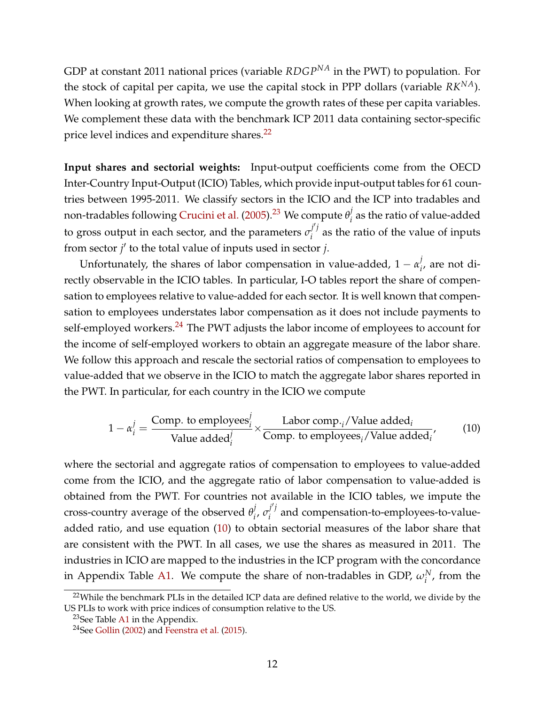GDP at constant 2011 national prices (variable *RDGPNA* in the PWT) to population. For the stock of capital per capita, we use the capital stock in PPP dollars (variable *RKNA*). When looking at growth rates, we compute the growth rates of these per capita variables. We complement these data with the benchmark ICP 2011 data containing sector-specific price level indices and expenditure shares.<sup>[22](#page-13-0)</sup>

**Input shares and sectorial weights:** Input-output coefficients come from the OECD Inter-Country Input-Output (ICIO) Tables, which provide input-output tables for 61 countries between 1995-2011. We classify sectors in the ICIO and the ICP into tradables and non-tradables following [Crucini et al.](#page-25-10) [\(2005\)](#page-25-10).[23](#page-13-1) We compute *θ j*  $\frac{1}{i}$  as the ratio of value-added to gross output in each sector, and the parameters  $\sigma_i^{j'j}$  $i^{\prime}$  as the ratio of the value of inputs from sector  $j'$  to the total value of inputs used in sector  $j$ .

Unfortunately, the shares of labor compensation in value-added,  $1 - \alpha_i^j$  $i<sub>i</sub>$ , are not directly observable in the ICIO tables. In particular, I-O tables report the share of compensation to employees relative to value-added for each sector. It is well known that compensation to employees understates labor compensation as it does not include payments to self-employed workers. $^{24}$  $^{24}$  $^{24}$  The PWT adjusts the labor income of employees to account for the income of self-employed workers to obtain an aggregate measure of the labor share. We follow this approach and rescale the sectorial ratios of compensation to employees to value-added that we observe in the ICIO to match the aggregate labor shares reported in the PWT. In particular, for each country in the ICIO we compute

<span id="page-13-3"></span>
$$
1 - \alpha_i^j = \frac{\text{Comp. to employees}_i^j}{\text{Value added}_i^j} \times \frac{\text{Labor comp.}_i/\text{Value added}_i}{\text{Comp. to employees}_i/\text{Value added}_i'},\tag{10}
$$

where the sectorial and aggregate ratios of compensation to employees to value-added come from the ICIO, and the aggregate ratio of labor compensation to value-added is obtained from the PWT. For countries not available in the ICIO tables, we impute the cross-country average of the observed *θ j i* , *σ j* 0 *j i* and compensation-to-employees-to-valueadded ratio, and use equation [\(10\)](#page-13-3) to obtain sectorial measures of the labor share that are consistent with the PWT. In all cases, we use the shares as measured in 2011. The industries in ICIO are mapped to the industries in the ICP program with the concordance in Appendix Table [A1.](#page-32-0) We compute the share of non-tradables in GDP,  $\omega_i^N$ , from the

<span id="page-13-0"></span><sup>&</sup>lt;sup>22</sup>While the benchmark PLIs in the detailed ICP data are defined relative to the world, we divide by the US PLIs to work with price indices of consumption relative to the US.

<span id="page-13-1"></span> $23$ See Table [A1](#page-32-0) in the Appendix.

<span id="page-13-2"></span><sup>&</sup>lt;sup>24</sup>See [Gollin](#page-25-11) [\(2002\)](#page-25-11) and [Feenstra et al.](#page-25-0) [\(2015\)](#page-25-0).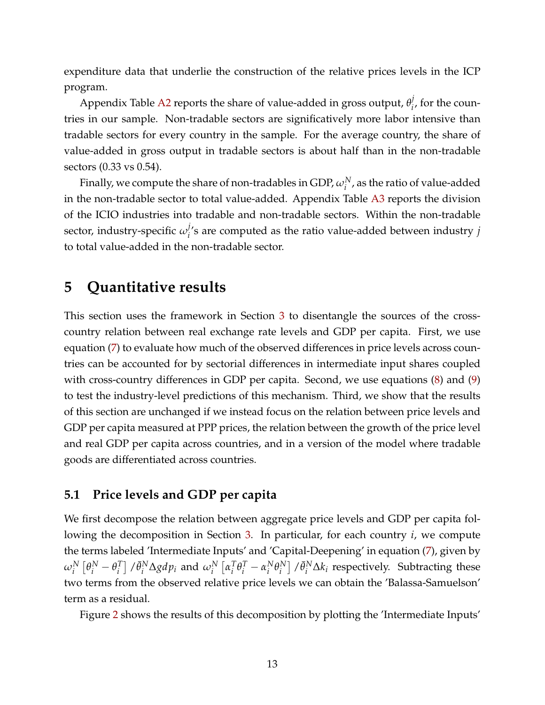expenditure data that underlie the construction of the relative prices levels in the ICP program.

Appendix Table [A2](#page-33-0) reports the share of value-added in gross output,  $\theta_i^j$  $i<sub>i</sub>$ , for the countries in our sample. Non-tradable sectors are significatively more labor intensive than tradable sectors for every country in the sample. For the average country, the share of value-added in gross output in tradable sectors is about half than in the non-tradable sectors (0.33 vs 0.54).

Finally, we compute the share of non-tradables in GDP,  $\omega_i^N$  , as the ratio of value-added in the non-tradable sector to total value-added. Appendix Table [A3](#page-35-0) reports the division of the ICIO industries into tradable and non-tradable sectors. Within the non-tradable sector, industry-specific  $\omega_i^j$ *i* 's are computed as the ratio value-added between industry *j* to total value-added in the non-tradable sector.

## <span id="page-14-0"></span>**5 Quantitative results**

This section uses the framework in Section [3](#page-8-0) to disentangle the sources of the crosscountry relation between real exchange rate levels and GDP per capita. First, we use equation [\(7\)](#page-10-3) to evaluate how much of the observed differences in price levels across countries can be accounted for by sectorial differences in intermediate input shares coupled with cross-country differences in GDP per capita. Second, we use equations  $(8)$  and  $(9)$ to test the industry-level predictions of this mechanism. Third, we show that the results of this section are unchanged if we instead focus on the relation between price levels and GDP per capita measured at PPP prices, the relation between the growth of the price level and real GDP per capita across countries, and in a version of the model where tradable goods are differentiated across countries.

### <span id="page-14-1"></span>**5.1 Price levels and GDP per capita**

We first decompose the relation between aggregate price levels and GDP per capita following the decomposition in Section [3.](#page-8-0) In particular, for each country *i*, we compute the terms labeled 'Intermediate Inputs' and 'Capital-Deepening' in equation [\(7\)](#page-10-3), given by  $\omega_i^N\left[\theta_i^N-\theta_i^T\right]$  $\left[ \begin{array}{c} T \\ i \end{array} \right]$  / $\bar{\theta}^{N}_{i}$   $\Delta$ *gdp<sub>i</sub>* and  $\omega^{N}_{i}$   $\left[ \begin{array}{c} \alpha^{T}_{i} \end{array} \right]$  $T_i^T \theta_i^T - \alpha_i^N$  $i^N \theta_i^N$  $\left[ \begin{array}{c} N \\ i \end{array} \right]$  / $\bar{\theta}^N_i \Delta k_i$  respectively. Subtracting these two terms from the observed relative price levels we can obtain the 'Balassa-Samuelson' term as a residual.

Figure [2](#page-15-0) shows the results of this decomposition by plotting the 'Intermediate Inputs'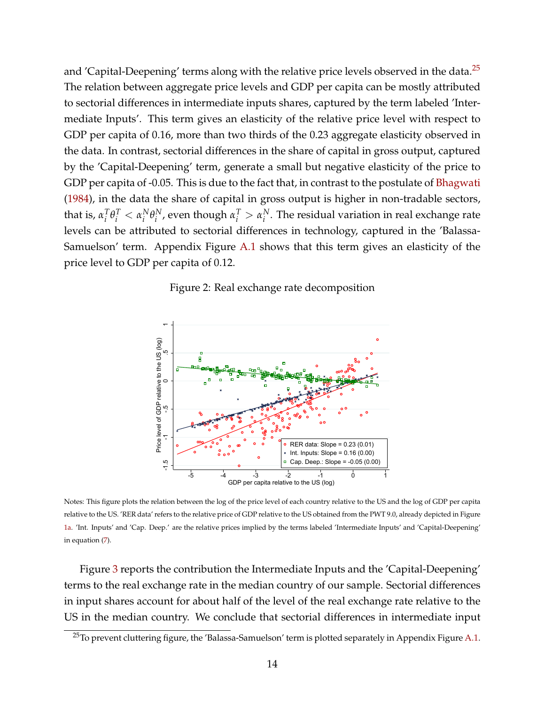and 'Capital-Deepening' terms along with the relative price levels observed in the data.<sup>[25](#page-15-1)</sup> The relation between aggregate price levels and GDP per capita can be mostly attributed to sectorial differences in intermediate inputs shares, captured by the term labeled 'Intermediate Inputs'. This term gives an elasticity of the relative price level with respect to GDP per capita of 0.16, more than two thirds of the 0.23 aggregate elasticity observed in the data. In contrast, sectorial differences in the share of capital in gross output, captured by the 'Capital-Deepening' term, generate a small but negative elasticity of the price to GDP per capita of -0.05. This is due to the fact that, in contrast to the postulate of [Bhagwati](#page-24-1) [\(1984\)](#page-24-1), in the data the share of capital in gross output is higher in non-tradable sectors, that is,  $\alpha_i^T$  $\int_i^T \theta_i^T < \alpha_i^N$  $i^N \theta_i^N$ *N*, even though  $α_i^T > α_i^N$  $i<sup>N</sup>$ . The residual variation in real exchange rate levels can be attributed to sectorial differences in technology, captured in the 'Balassa-Samuelson' term. Appendix Figure [A.1](#page-36-0) shows that this term gives an elasticity of the price level to GDP per capita of 0.12.

Figure 2: Real exchange rate decomposition

<span id="page-15-0"></span>

Notes: This figure plots the relation between the log of the price level of each country relative to the US and the log of GDP per capita relative to the US. 'RER data' refers to the relative price of GDP relative to the US obtained from the PWT 9.0, already depicted in Figure [1a.](#page-2-0) 'Int. Inputs' and 'Cap. Deep.' are the relative prices implied by the terms labeled 'Intermediate Inputs' and 'Capital-Deepening' in equation [\(7\)](#page-10-3).

Figure [3](#page-16-1) reports the contribution the Intermediate Inputs and the 'Capital-Deepening' terms to the real exchange rate in the median country of our sample. Sectorial differences in input shares account for about half of the level of the real exchange rate relative to the US in the median country. We conclude that sectorial differences in intermediate input

<span id="page-15-1"></span><sup>&</sup>lt;sup>25</sup>To prevent cluttering figure, the 'Balassa-Samuelson' term is plotted separately in Appendix Figure [A.1.](#page-36-0)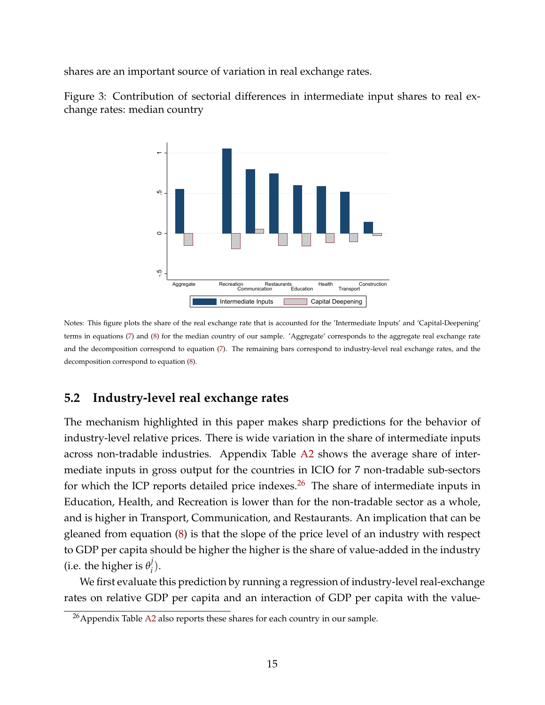shares are an important source of variation in real exchange rates.

<span id="page-16-1"></span>Figure 3: Contribution of sectorial differences in intermediate input shares to real exchange rates: median country



Notes: This figure plots the share of the real exchange rate that is accounted for the 'Intermediate Inputs' and 'Capital-Deepening' terms in equations [\(7\)](#page-10-3) and [\(8\)](#page-12-1) for the median country of our sample. 'Aggregate' corresponds to the aggregate real exchange rate and the decomposition correspond to equation [\(7\)](#page-10-3). The remaining bars correspond to industry-level real exchange rates, and the decomposition correspond to equation [\(8\)](#page-12-1).

## <span id="page-16-0"></span>**5.2 Industry-level real exchange rates**

The mechanism highlighted in this paper makes sharp predictions for the behavior of industry-level relative prices. There is wide variation in the share of intermediate inputs across non-tradable industries. Appendix Table [A2](#page-33-0) shows the average share of intermediate inputs in gross output for the countries in ICIO for 7 non-tradable sub-sectors for which the ICP reports detailed price indexes. $26$  The share of intermediate inputs in Education, Health, and Recreation is lower than for the non-tradable sector as a whole, and is higher in Transport, Communication, and Restaurants. An implication that can be gleaned from equation [\(8\)](#page-12-1) is that the slope of the price level of an industry with respect to GDP per capita should be higher the higher is the share of value-added in the industry (i.e. the higher is  $\theta_i^j$ *i* ).

We first evaluate this prediction by running a regression of industry-level real-exchange rates on relative GDP per capita and an interaction of GDP per capita with the value-

<span id="page-16-2"></span><sup>&</sup>lt;sup>26</sup> Appendix Table [A2](#page-33-0) also reports these shares for each country in our sample.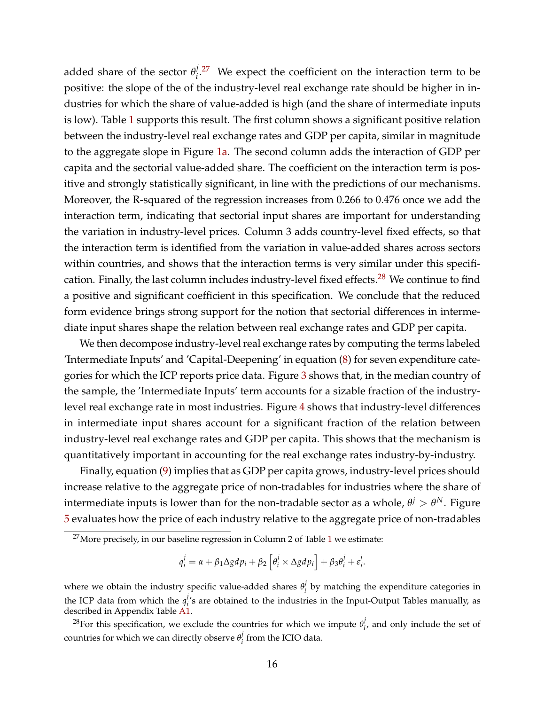added share of the sector  $\theta_i^j$  $i^{1.27}$  $i^{1.27}$  $i^{1.27}$  We expect the coefficient on the interaction term to be positive: the slope of the of the industry-level real exchange rate should be higher in industries for which the share of value-added is high (and the share of intermediate inputs is low). Table [1](#page-19-0) supports this result. The first column shows a significant positive relation between the industry-level real exchange rates and GDP per capita, similar in magnitude to the aggregate slope in Figure [1a.](#page-2-0) The second column adds the interaction of GDP per capita and the sectorial value-added share. The coefficient on the interaction term is positive and strongly statistically significant, in line with the predictions of our mechanisms. Moreover, the R-squared of the regression increases from 0.266 to 0.476 once we add the interaction term, indicating that sectorial input shares are important for understanding the variation in industry-level prices. Column 3 adds country-level fixed effects, so that the interaction term is identified from the variation in value-added shares across sectors within countries, and shows that the interaction terms is very similar under this specifi-cation. Finally, the last column includes industry-level fixed effects.<sup>[28](#page-17-1)</sup> We continue to find a positive and significant coefficient in this specification. We conclude that the reduced form evidence brings strong support for the notion that sectorial differences in intermediate input shares shape the relation between real exchange rates and GDP per capita.

We then decompose industry-level real exchange rates by computing the terms labeled 'Intermediate Inputs' and 'Capital-Deepening' in equation [\(8\)](#page-12-1) for seven expenditure categories for which the ICP reports price data. Figure [3](#page-16-1) shows that, in the median country of the sample, the 'Intermediate Inputs' term accounts for a sizable fraction of the industrylevel real exchange rate in most industries. Figure [4](#page-18-0) shows that industry-level differences in intermediate input shares account for a significant fraction of the relation between industry-level real exchange rates and GDP per capita. This shows that the mechanism is quantitatively important in accounting for the real exchange rates industry-by-industry.

Finally, equation [\(9\)](#page-12-2) implies that as GDP per capita grows, industry-level prices should increase relative to the aggregate price of non-tradables for industries where the share of intermediate inputs is lower than for the non-tradable sector as a whole,  $\theta^j > \theta^N.$  Figure [5](#page-20-0) evaluates how the price of each industry relative to the aggregate price of non-tradables

$$
q_i^j = \alpha + \beta_1 \Delta g dp_i + \beta_2 \left[ \theta_i^j \times \Delta g dp_i \right] + \beta_3 \theta_i^j + \varepsilon_i^j.
$$

<span id="page-17-0"></span> $27$ More precisely, in our baseline regression in Column 2 of Table [1](#page-19-0) we estimate:

where we obtain the industry specific value-added shares *θ j*  $\mathbf{p}'_i$  by matching the expenditure categories in the ICP data from which the  $q_i^j$  $\mathbf{f}'_i$ s are obtained to the industries in the Input-Output Tables manually, as described in Appendix Table [A1.](#page-32-0)

<span id="page-17-1"></span><sup>&</sup>lt;sup>28</sup>For this specification, we exclude the countries for which we impute  $\theta_i^j$  $\mathbf{f}_i'$ , and only include the set of countries for which we can directly observe  $\theta_i^j$ *i* from the ICIO data.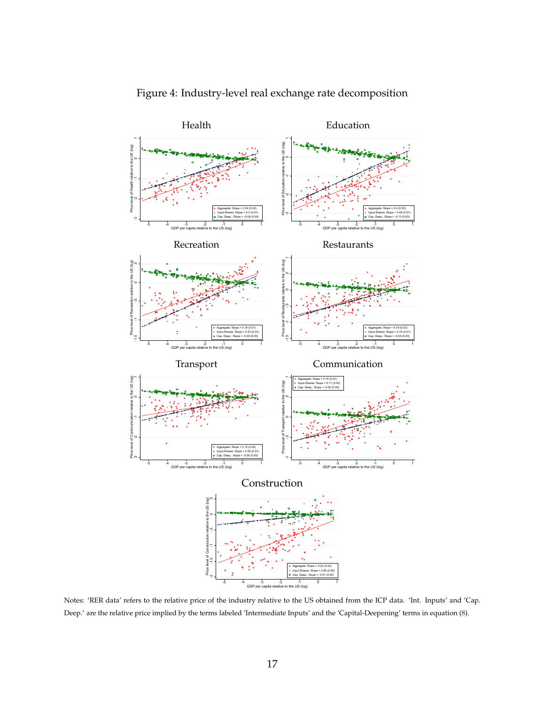<span id="page-18-0"></span>

Figure 4: Industry-level real exchange rate decomposition

Notes: 'RER data' refers to the relative price of the industry relative to the US obtained from the ICP data. 'Int. Inputs' and 'Cap. Deep.' are the relative price implied by the terms labeled 'Intermediate Inputs' and the 'Capital-Deepening' terms in equation [\(8\)](#page-12-1).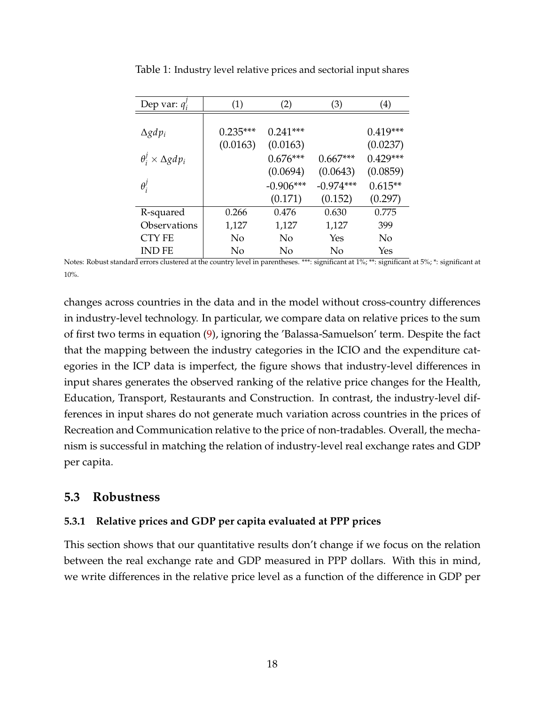| Dep var: $q_i'$                   | (1)        | (2)         | (3)         | (4)        |
|-----------------------------------|------------|-------------|-------------|------------|
|                                   |            |             |             |            |
| $\Delta g dp_i$                   | $0.235***$ | $0.241***$  |             | $0.419***$ |
|                                   | (0.0163)   | (0.0163)    |             | (0.0237)   |
| $\theta_i^j \times \Delta g dp_i$ |            | $0.676***$  | $0.667***$  | $0.429***$ |
|                                   |            | (0.0694)    | (0.0643)    | (0.0859)   |
| $\theta_i^j$                      |            | $-0.906***$ | $-0.974***$ | $0.615**$  |
|                                   |            | (0.171)     | (0.152)     | (0.297)    |
| R-squared                         | 0.266      | 0.476       | 0.630       | 0.775      |
| Observations                      | 1,127      | 1,127       | 1,127       | 399        |
| <b>CTY FE</b>                     | No         | No          | Yes         | No         |
| <b>IND FE</b>                     | No         | No          | No          | Yes        |

<span id="page-19-0"></span>Table 1: Industry level relative prices and sectorial input shares

Notes: Robust standard errors clustered at the country level in parentheses. \*\*\*: significant at 1%; \*\*: significant at 5%; \*: significant at 10%.

changes across countries in the data and in the model without cross-country differences in industry-level technology. In particular, we compare data on relative prices to the sum of first two terms in equation [\(9\)](#page-12-2), ignoring the 'Balassa-Samuelson' term. Despite the fact that the mapping between the industry categories in the ICIO and the expenditure categories in the ICP data is imperfect, the figure shows that industry-level differences in input shares generates the observed ranking of the relative price changes for the Health, Education, Transport, Restaurants and Construction. In contrast, the industry-level differences in input shares do not generate much variation across countries in the prices of Recreation and Communication relative to the price of non-tradables. Overall, the mechanism is successful in matching the relation of industry-level real exchange rates and GDP per capita.

### **5.3 Robustness**

#### **5.3.1 Relative prices and GDP per capita evaluated at PPP prices**

This section shows that our quantitative results don't change if we focus on the relation between the real exchange rate and GDP measured in PPP dollars. With this in mind, we write differences in the relative price level as a function of the difference in GDP per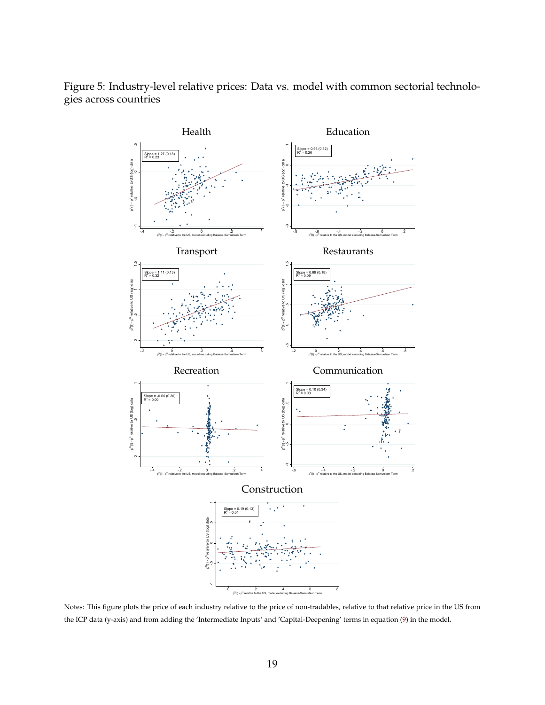

<span id="page-20-0"></span>Figure 5: Industry-level relative prices: Data vs. model with common sectorial technologies across countries

Notes: This figure plots the price of each industry relative to the price of non-tradables, relative to that relative price in the US from the ICP data (y-axis) and from adding the 'Intermediate Inputs' and 'Capital-Deepening' terms in equation [\(9\)](#page-12-2) in the model.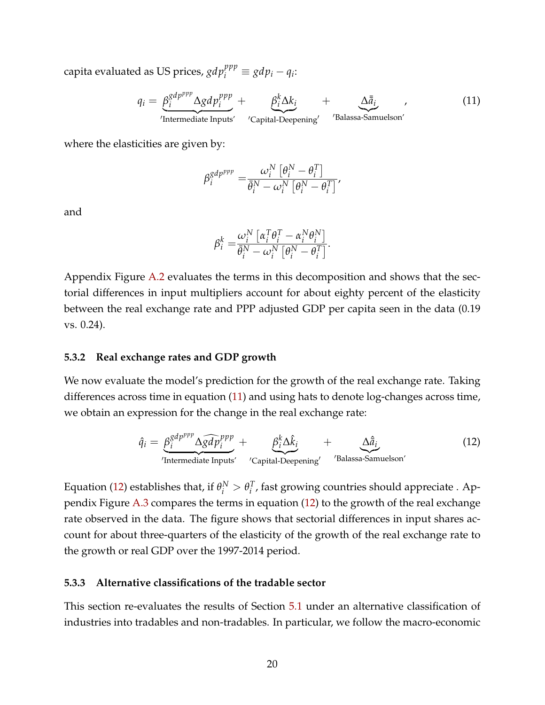$\text{capita evaluated as US prices, } gdp_i^{ppp} \equiv gdp_i - q_i \mathbf{.}$ 

$$
q_i = \underbrace{\beta_i^{gdp^{ppp}} \Delta gdp_i^{ppp}}_{\text{Intermediate inputs'}} + \underbrace{\beta_i^k \Delta k_i}_{\text{'Capital-Deepening'}} + \underbrace{\Delta \bar{a}_i}_{\text{'Balassa-Samuelson'}}
$$
\n(11)

where the elasticities are given by:

<span id="page-21-0"></span>
$$
\beta_i^{gdp^{ppp}} = \frac{\omega_i^N \left[\theta_i^N - \theta_i^T\right]}{\bar{\theta}_i^N - \omega_i^N \left[\theta_i^N - \theta_i^T\right]},
$$

and

<span id="page-21-1"></span>
$$
\beta_i^k = \frac{\omega_i^N \left[ \alpha_i^T \theta_i^T - \alpha_i^N \theta_i^N \right]}{\bar{\theta}_i^N - \omega_i^N \left[ \theta_i^N - \theta_i^T \right]}.
$$

Appendix Figure [A.2](#page-36-1) evaluates the terms in this decomposition and shows that the sectorial differences in input multipliers account for about eighty percent of the elasticity between the real exchange rate and PPP adjusted GDP per capita seen in the data (0.19 vs. 0.24).

#### **5.3.2 Real exchange rates and GDP growth**

We now evaluate the model's prediction for the growth of the real exchange rate. Taking differences across time in equation [\(11\)](#page-21-0) and using hats to denote log-changes across time, we obtain an expression for the change in the real exchange rate:

$$
\hat{q}_i = \underbrace{\beta_i^{gdp^{ppp}} \Delta \widehat{gdp}_i^{ppp}}_{\text{Intermediate inputs}} + \underbrace{\beta_i^k \Delta \hat{k}_i}_{\text{Capital-Deepening}'} + \underbrace{\Delta \hat{a}_i}_{\text{Balassa-Samuelson}'} \tag{12}
$$

Equation [\(12\)](#page-21-1) establishes that, if  $\theta_i^N > \theta_i^T$ *i* , fast growing countries should appreciate . Appendix Figure [A.3](#page-37-0) compares the terms in equation [\(12\)](#page-21-1) to the growth of the real exchange rate observed in the data. The figure shows that sectorial differences in input shares account for about three-quarters of the elasticity of the growth of the real exchange rate to the growth or real GDP over the 1997-2014 period.

#### **5.3.3 Alternative classifications of the tradable sector**

This section re-evaluates the results of Section [5.1](#page-14-1) under an alternative classification of industries into tradables and non-tradables. In particular, we follow the macro-economic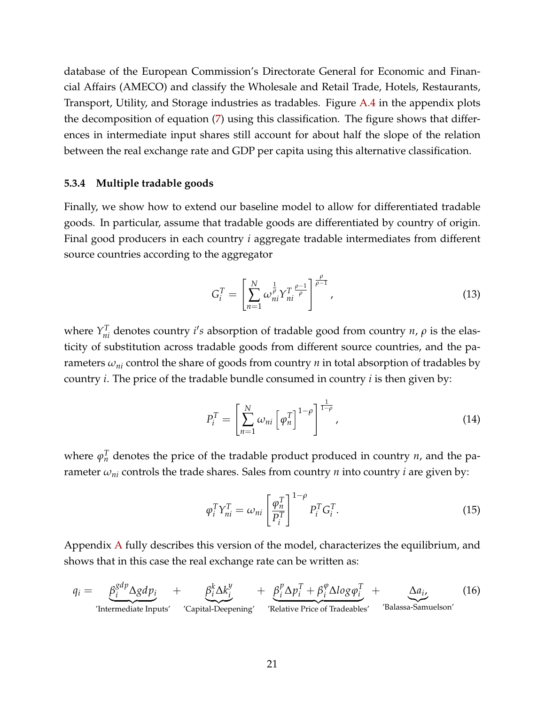database of the European Commission's Directorate General for Economic and Financial Affairs (AMECO) and classify the Wholesale and Retail Trade, Hotels, Restaurants, Transport, Utility, and Storage industries as tradables. Figure [A.4](#page-37-1) in the appendix plots the decomposition of equation [\(7\)](#page-10-3) using this classification. The figure shows that differences in intermediate input shares still account for about half the slope of the relation between the real exchange rate and GDP per capita using this alternative classification.

#### **5.3.4 Multiple tradable goods**

Finally, we show how to extend our baseline model to allow for differentiated tradable goods. In particular, assume that tradable goods are differentiated by country of origin. Final good producers in each country *i* aggregate tradable intermediates from different source countries according to the aggregator

$$
G_i^T = \left[ \sum_{n=1}^N \omega_{ni}^{\frac{1}{\rho}} Y_{ni}^T \frac{\rho - 1}{\rho} \right]^{\frac{\rho}{\rho - 1}},
$$
\n(13)

where  $Y_{ni}^T$  denotes country *i's* absorption of tradable good from country *n*,  $\rho$  is the elasticity of substitution across tradable goods from different source countries, and the parameters  $\omega_{ni}$  control the share of goods from country *n* in total absorption of tradables by country *i*. The price of the tradable bundle consumed in country *i* is then given by:

<span id="page-22-2"></span>
$$
P_i^T = \left[\sum_{n=1}^N \omega_{ni} \left[\varphi_n^T\right]^{1-\rho}\right]^{\frac{1}{1-\rho}},\tag{14}
$$

where  $\varphi_n^T$  denotes the price of the tradable product produced in country *n*, and the parameter  $\omega_{ni}$  controls the trade shares. Sales from country  $n$  into country  $i$  are given by:

<span id="page-22-1"></span><span id="page-22-0"></span>
$$
\varphi_i^T Y_{ni}^T = \omega_{ni} \left[ \frac{\varphi_n^T}{P_i^T} \right]^{1-\rho} P_i^T G_i^T.
$$
\n(15)

Appendix [A](#page-27-0) fully describes this version of the model, characterizes the equilibrium, and shows that in this case the real exchange rate can be written as:

$$
q_i = \underbrace{\beta_i^{gdp} \Delta g dp_i}_{\text{Intermediate inputs'}} + \underbrace{\beta_i^k \Delta k_i^y}_{\text{Capital-Deepening'}} + \underbrace{\beta_i^p \Delta p_i^T + \beta_i^{\varphi} \Delta log \varphi_i^T}_{\text{Relative Price of Tradeables'}} + \underbrace{\Delta a_i}_{\text{Balassa-Samuelson'}}
$$
(16)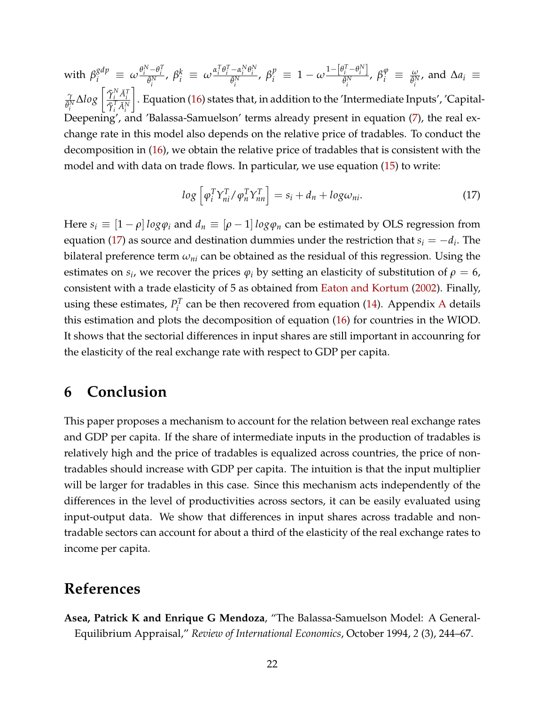with  $\beta_i^{gdp} \ \equiv \ \omega \frac{\theta_i^N - \theta_i^T}{\bar{\theta}_i^N}, \ \beta_i^k \ \equiv \ \omega \frac{\alpha_i^T \theta_i^T - \alpha_i^N \theta_i^N}{\bar{\theta}_i^N}, \ \beta_i^p \ \equiv \ 1 - \omega \frac{1 - \left[\theta_i^T - \theta_i^N\right]}{\bar{\theta}_i^N}$  $\frac{\partial}{\partial t} \frac{\partial}{\partial t} \frac{\partial}{\partial t} \frac{\partial}{\partial t} \frac{\partial}{\partial t} \frac{\partial}{\partial t} \frac{\partial}{\partial t}$  and  $\Delta a_i \equiv$ *γ*  $\frac{\gamma}{\bar{\theta}^N_i}\Delta log\left[\frac{\bar{\gamma}^N_i\bar{A}^T_i}{\bar{\gamma}^T_i\bar{A}^N_i}\right]$ 1 . Equation [\(16\)](#page-22-0) states that, in addition to the 'Intermediate Inputs', 'Capital-Deepening', and 'Balassa-Samuelson' terms already present in equation [\(7\)](#page-10-3), the real exchange rate in this model also depends on the relative price of tradables. To conduct the decomposition in [\(16\)](#page-22-0), we obtain the relative price of tradables that is consistent with the model and with data on trade flows. In particular, we use equation [\(15\)](#page-22-1) to write:

<span id="page-23-2"></span>
$$
log\left[\varphi_i^T Y_{ni}^T / \varphi_n^T Y_{nn}^T\right] = s_i + d_n + log\omega_{ni}.
$$
\n(17)

Here  $s_i \equiv [1 - \rho] \log \varphi_i$  and  $d_n \equiv [\rho - 1] \log \varphi_n$  can be estimated by OLS regression from equation [\(17\)](#page-23-2) as source and destination dummies under the restriction that  $s_i = -d_i$ . The bilateral preference term *ωni* can be obtained as the residual of this regression. Using the estimates on  $s_i$ , we recover the prices  $\varphi_i$  by setting an elasticity of substitution of  $\rho = 6$ , consistent with a trade elasticity of 5 as obtained from [Eaton and Kortum](#page-25-12) [\(2002\)](#page-25-12). Finally, using these estimates,  $P_i^T$  $\mathbf{r}_i^{\prime}$  can be then recovered from equation [\(14\)](#page-22-2). [A](#page-27-0)ppendix A details this estimation and plots the decomposition of equation [\(16\)](#page-22-0) for countries in the WIOD. It shows that the sectorial differences in input shares are still important in accounring for the elasticity of the real exchange rate with respect to GDP per capita.

## <span id="page-23-0"></span>**6 Conclusion**

This paper proposes a mechanism to account for the relation between real exchange rates and GDP per capita. If the share of intermediate inputs in the production of tradables is relatively high and the price of tradables is equalized across countries, the price of nontradables should increase with GDP per capita. The intuition is that the input multiplier will be larger for tradables in this case. Since this mechanism acts independently of the differences in the level of productivities across sectors, it can be easily evaluated using input-output data. We show that differences in input shares across tradable and nontradable sectors can account for about a third of the elasticity of the real exchange rates to income per capita.

## **References**

<span id="page-23-1"></span>**Asea, Patrick K and Enrique G Mendoza**, "The Balassa-Samuelson Model: A General-Equilibrium Appraisal," *Review of International Economics*, October 1994, *2* (3), 244–67.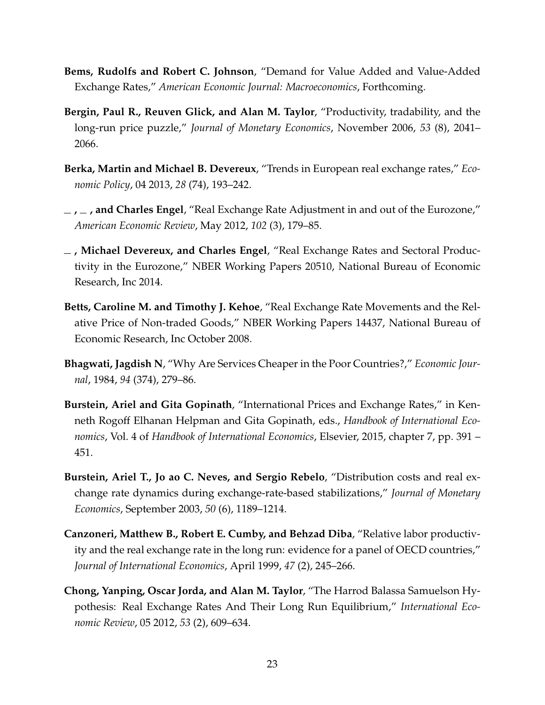- <span id="page-24-3"></span>**Bems, Rudolfs and Robert C. Johnson**, "Demand for Value Added and Value-Added Exchange Rates," *American Economic Journal: Macroeconomics*, Forthcoming.
- <span id="page-24-5"></span>**Bergin, Paul R., Reuven Glick, and Alan M. Taylor**, "Productivity, tradability, and the long-run price puzzle," *Journal of Monetary Economics*, November 2006, *53* (8), 2041– 2066.
- <span id="page-24-10"></span>**Berka, Martin and Michael B. Devereux**, "Trends in European real exchange rates," *Economic Policy*, 04 2013, *28* (74), 193–242.
- <span id="page-24-4"></span>**, , and Charles Engel**, "Real Exchange Rate Adjustment in and out of the Eurozone," *American Economic Review*, May 2012, *102* (3), 179–85.
- <span id="page-24-0"></span>**, Michael Devereux, and Charles Engel**, "Real Exchange Rates and Sectoral Productivity in the Eurozone," NBER Working Papers 20510, National Bureau of Economic Research, Inc 2014.
- <span id="page-24-8"></span>**Betts, Caroline M. and Timothy J. Kehoe**, "Real Exchange Rate Movements and the Relative Price of Non-traded Goods," NBER Working Papers 14437, National Bureau of Economic Research, Inc October 2008.
- <span id="page-24-1"></span>**Bhagwati, Jagdish N**, "Why Are Services Cheaper in the Poor Countries?," *Economic Journal*, 1984, *94* (374), 279–86.
- <span id="page-24-9"></span>**Burstein, Ariel and Gita Gopinath**, "International Prices and Exchange Rates," in Kenneth Rogoff Elhanan Helpman and Gita Gopinath, eds., *Handbook of International Economics*, Vol. 4 of *Handbook of International Economics*, Elsevier, 2015, chapter 7, pp. 391 – 451.
- <span id="page-24-7"></span>**Burstein, Ariel T., Jo ao C. Neves, and Sergio Rebelo**, "Distribution costs and real exchange rate dynamics during exchange-rate-based stabilizations," *Journal of Monetary Economics*, September 2003, *50* (6), 1189–1214.
- <span id="page-24-6"></span>**Canzoneri, Matthew B., Robert E. Cumby, and Behzad Diba**, "Relative labor productivity and the real exchange rate in the long run: evidence for a panel of OECD countries," *Journal of International Economics*, April 1999, *47* (2), 245–266.
- <span id="page-24-2"></span>**Chong, Yanping, Oscar Jorda, and Alan M. Taylor**, "The Harrod Balassa Samuelson Hypothesis: Real Exchange Rates And Their Long Run Equilibrium," *International Economic Review*, 05 2012, *53* (2), 609–634.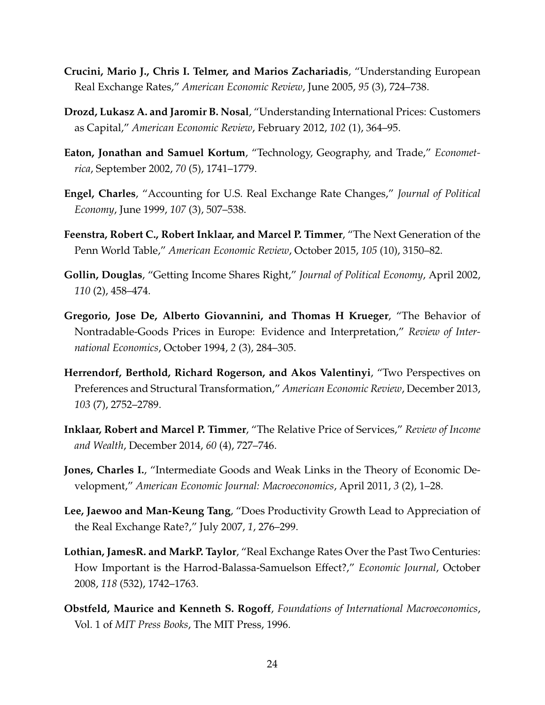- <span id="page-25-10"></span>**Crucini, Mario J., Chris I. Telmer, and Marios Zachariadis**, "Understanding European Real Exchange Rates," *American Economic Review*, June 2005, *95* (3), 724–738.
- <span id="page-25-9"></span>**Drozd, Lukasz A. and Jaromir B. Nosal**, "Understanding International Prices: Customers as Capital," *American Economic Review*, February 2012, *102* (1), 364–95.
- <span id="page-25-12"></span>**Eaton, Jonathan and Samuel Kortum**, "Technology, Geography, and Trade," *Econometrica*, September 2002, *70* (5), 1741–1779.
- <span id="page-25-8"></span>**Engel, Charles**, "Accounting for U.S. Real Exchange Rate Changes," *Journal of Political Economy*, June 1999, *107* (3), 507–538.
- <span id="page-25-0"></span>**Feenstra, Robert C., Robert Inklaar, and Marcel P. Timmer**, "The Next Generation of the Penn World Table," *American Economic Review*, October 2015, *105* (10), 3150–82.
- <span id="page-25-11"></span>**Gollin, Douglas**, "Getting Income Shares Right," *Journal of Political Economy*, April 2002, *110* (2), 458–474.
- <span id="page-25-1"></span>**Gregorio, Jose De, Alberto Giovannini, and Thomas H Krueger**, "The Behavior of Nontradable-Goods Prices in Europe: Evidence and Interpretation," *Review of International Economics*, October 1994, *2* (3), 284–305.
- <span id="page-25-5"></span>**Herrendorf, Berthold, Richard Rogerson, and Akos Valentinyi**, "Two Perspectives on Preferences and Structural Transformation," *American Economic Review*, December 2013, *103* (7), 2752–2789.
- <span id="page-25-4"></span>**Inklaar, Robert and Marcel P. Timmer**, "The Relative Price of Services," *Review of Income and Wealth*, December 2014, *60* (4), 727–746.
- <span id="page-25-6"></span>**Jones, Charles I.**, "Intermediate Goods and Weak Links in the Theory of Economic Development," *American Economic Journal: Macroeconomics*, April 2011, *3* (2), 1–28.
- <span id="page-25-7"></span>**Lee, Jaewoo and Man-Keung Tang**, "Does Productivity Growth Lead to Appreciation of the Real Exchange Rate?," July 2007, *1*, 276–299.
- <span id="page-25-2"></span>**Lothian, JamesR. and MarkP. Taylor**, "Real Exchange Rates Over the Past Two Centuries: How Important is the Harrod-Balassa-Samuelson Effect?," *Economic Journal*, October 2008, *118* (532), 1742–1763.
- <span id="page-25-3"></span>**Obstfeld, Maurice and Kenneth S. Rogoff**, *Foundations of International Macroeconomics*, Vol. 1 of *MIT Press Books*, The MIT Press, 1996.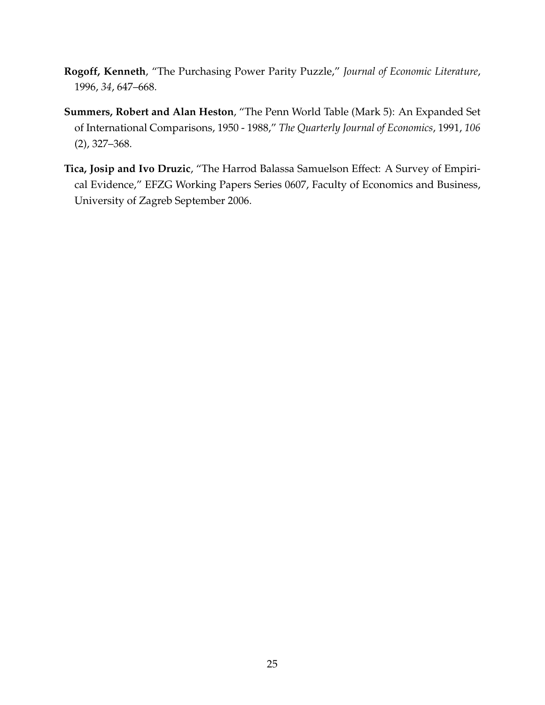- <span id="page-26-0"></span>**Rogoff, Kenneth**, "The Purchasing Power Parity Puzzle," *Journal of Economic Literature*, 1996, *34*, 647–668.
- <span id="page-26-1"></span>**Summers, Robert and Alan Heston**, "The Penn World Table (Mark 5): An Expanded Set of International Comparisons, 1950 - 1988," *The Quarterly Journal of Economics*, 1991, *106* (2), 327–368.
- <span id="page-26-2"></span>**Tica, Josip and Ivo Druzic**, "The Harrod Balassa Samuelson Effect: A Survey of Empirical Evidence," EFZG Working Papers Series 0607, Faculty of Economics and Business, University of Zagreb September 2006.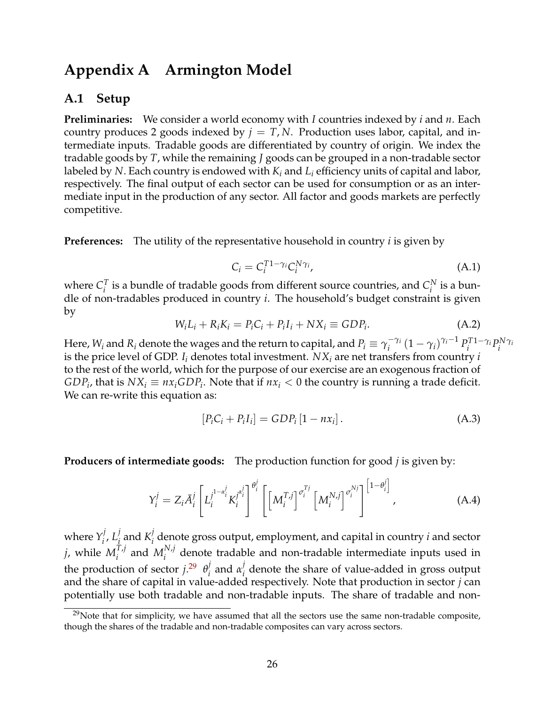## <span id="page-27-0"></span>**Appendix A Armington Model**

### **A.1 Setup**

**Preliminaries:** We consider a world economy with *I* countries indexed by *i* and *n*. Each country produces 2 goods indexed by  $j = T$ , N. Production uses labor, capital, and intermediate inputs. Tradable goods are differentiated by country of origin. We index the tradable goods by *T*, while the remaining *J* goods can be grouped in a non-tradable sector labeled by *N*. Each country is endowed with *K<sup>i</sup>* and *L<sup>i</sup>* efficiency units of capital and labor, respectively. The final output of each sector can be used for consumption or as an intermediate input in the production of any sector. All factor and goods markets are perfectly competitive.

**Preferences:** The utility of the representative household in country *i* is given by

$$
C_i = C_i^{T1 - \gamma_i} C_i^{N\gamma_i}, \tag{A.1}
$$

where  $C_i^T$  $I_i^T$  is a bundle of tradable goods from different source countries, and  $C_i^N$  $i^{\text{N}}$  is a bundle of non-tradables produced in country *i*. The household's budget constraint is given by

<span id="page-27-2"></span>
$$
W_i L_i + R_i K_i = P_i C_i + P_i I_i + N X_i \equiv GDP_i.
$$
\n(A.2)

Here,  $W_i$  and  $R_i$  denote the wages and the return to capital, and  $P_i \equiv \gamma_i^{-\gamma_i}$  $\int_i^{-\gamma_i} (1-\gamma_i)^{\gamma_i-1} P_i^T$ *i*<sup>*T*1−γ*i*</sup>*P*<sup>*N*</sup><sup>*i*</sup> *i γi* is the price level of GDP.  $I_i$  denotes total investment.  $NX_i$  are net transfers from country *i* to the rest of the world, which for the purpose of our exercise are an exogenous fraction of  $GDP_i$ , that is  $NX_i \equiv nx_i GDP_i$ . Note that if  $nx_i < 0$  the country is running a trade deficit. We can re-write this equation as:

$$
[P_i C_i + P_i I_i] = GDP_i [1 - nx_i].
$$
 (A.3)

**Producers of intermediate goods:** The production function for good *j* is given by:

$$
Y_i^j = Z_i \overline{A}_i^j \left[ L_i^{j^{1-\alpha_i^j}} K_i^{j^{\alpha_i^j}} \right]^{\theta_i^j} \left[ \left[ M_i^{T,j} \right]^{\sigma_i^{Tj}} \left[ M_i^{N,j} \right]^{\sigma_i^{Nj}} \right]^{ \left[ 1-\theta_i^j \right]}, \tag{A.4}
$$

where  $Y_i^j$ *i* , *L j*  $\frac{j}{i}$  and  $K_i^j$  $\mathcal{I}_i^j$  denote gross output, employment, and capital in country *i* and sector  $j$ , while  $M_i^{T,j}$  $\sum_i^{T,j}$  and  $M_i^{N,j}$ *i* denote tradable and non-tradable intermediate inputs used in the production of sector  $j^{29}$  $j^{29}$  $j^{29}$   $\theta_i^j$  $\frac{j}{i}$  and  $\alpha_i^j$ *i* denote the share of value-added in gross output and the share of capital in value-added respectively. Note that production in sector *j* can potentially use both tradable and non-tradable inputs. The share of tradable and non-

<span id="page-27-1"></span> $29$ Note that for simplicity, we have assumed that all the sectors use the same non-tradable composite, though the shares of the tradable and non-tradable composites can vary across sectors.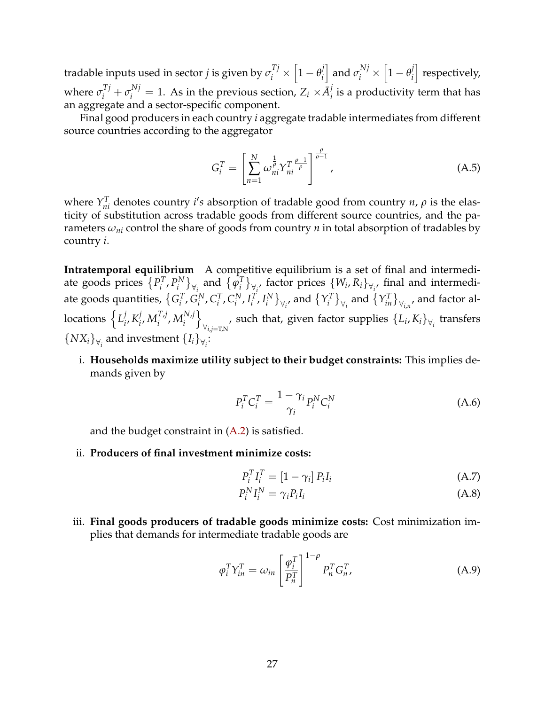tradable inputs used in sector *j* is given by  $\sigma^{Tj}_i \times \left[1-\theta^{j}_i\right]$ *i*  $\left[ \text{ and } \sigma^{Nj}_i \times \left[ 1 - \theta^{j}_i \right] \right]$ *i* | respectively, where  $\sigma_i^{Tj} + \sigma_i^{Nj} = 1$ . As in the previous section,  $Z_i \times \bar{A}_i^j$  $\mathcal{C}_i$  is a productivity term that has an aggregate and a sector-specific component.

Final good producers in each country *i* aggregate tradable intermediates from different source countries according to the aggregator

$$
G_i^T = \left[ \sum_{n=1}^N \omega_{ni}^{\frac{1}{\rho}} Y_{ni}^T \frac{\rho - 1}{\rho} \right]^{\frac{\rho}{\rho - 1}},
$$
(A.5)

where  $Y_{ni}^T$  denotes country *i's* absorption of tradable good from country *n*,  $\rho$  is the elasticity of substitution across tradable goods from different source countries, and the parameters *ωni* control the share of goods from country *n* in total absorption of tradables by country *i*.

**Intratemporal equilibrium** A competitive equilibrium is a set of final and intermediate goods prices  $\{P_i^T\}$  $P_i^T$ ,  $P_i^N$  $\{\varphi_i^N\}$ <sub> $\forall$ *i*</sub> and  $\{\varphi_i^T\}$  $\left\{V_i, R_i\right\}_{\forall i}$ , factor prices  $\left\{W_i, R_i\right\}_{\forall i}$ , final and intermediate goods quantities,  $\{G_i^T\}$  $_i^T$ ,  $G_i^N$  $C_i^I$ ,  $C_i^T$  $_i^T$ ,  $C_i^N$  $i^N$ ,  $I_i^T$  $_i^T$ ,  $I_i^N$  $\{Y_i^N\}_{\forall i}$ , and  $\{Y_i^T\}$  $\{Y_{in}^T\}_{\forall_{i,n}}$  and factor allocations  $\left\{L_i^j\right\}$  $i$ ,  $K_i^j$  $i$ ,  $M_i^{T,j}$  $_{i}^{T,j}$ ,  $M_{i}^{N,j}$ *i* o , such that, given factor supplies  $\{L_i, K_i\}_{\forall_i}$  transfers  $\{NX_i\}_{\forall_i}$  and investment  $\{I_i\}_{\forall_i}$ :

i. **Households maximize utility subject to their budget constraints:** This implies demands given by

<span id="page-28-0"></span>
$$
P_i^T C_i^T = \frac{1 - \gamma_i}{\gamma_i} P_i^N C_i^N \tag{A.6}
$$

and the budget constraint in [\(A.2\)](#page-27-2) is satisfied.

ii. **Producers of final investment minimize costs:**

$$
P_i^T I_i^T = [1 - \gamma_i] P_i I_i \tag{A.7}
$$

<span id="page-28-1"></span>
$$
P_i^N I_i^N = \gamma_i P_i I_i \tag{A.8}
$$

iii. **Final goods producers of tradable goods minimize costs:** Cost minimization implies that demands for intermediate tradable goods are

$$
\varphi_i^T Y_{in}^T = \omega_{in} \left[ \frac{\varphi_i^T}{P_n^T} \right]^{1-\rho} P_n^T G_n^T,
$$
\n(A.9)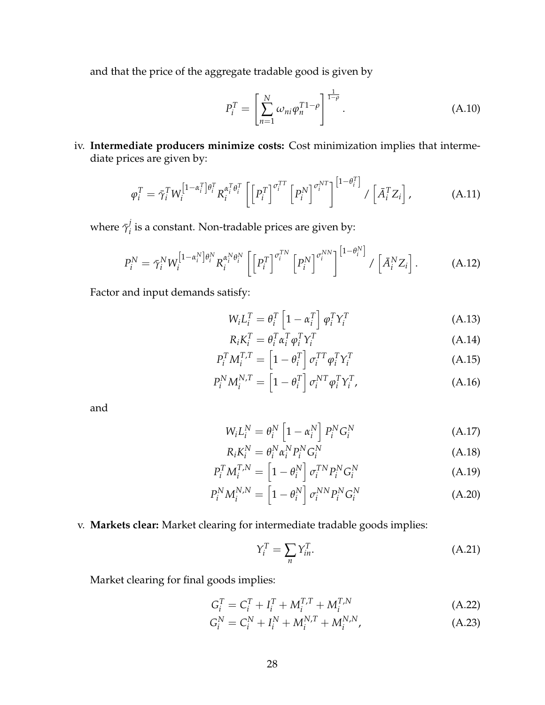and that the price of the aggregate tradable good is given by

<span id="page-29-2"></span><span id="page-29-0"></span>
$$
P_i^T = \left[ \sum_{n=1}^N \omega_{ni} \varphi_n^{T1-\rho} \right]^{\frac{1}{1-\rho}}.
$$
 (A.10)

iv. **Intermediate producers minimize costs:** Cost minimization implies that intermediate prices are given by:

$$
\varphi_i^T = \bar{\gamma}_i^T W_i^{\left[1-\alpha_i^T\right]\theta_i^T} R_i^{\alpha_i^T \theta_i^T} \left[ \left[P_i^T\right]^{\sigma_i^{TT}} \left[P_i^N\right]^{\sigma_i^{NT}} \right]^{ \left[1-\theta_i^T\right]} / \left[\bar{A}_i^T Z_i\right], \tag{A.11}
$$

where  $\bar{\gamma}^j_i$  $\mathcal{C}_i$  is a constant. Non-tradable prices are given by:

$$
P_i^N = \bar{\gamma}_i^N W_i^{\left[1-\alpha_i^N\right]\theta_i^N} R_i^{\alpha_i^N\theta_i^N} \left[ \left[P_i^T\right]^{\sigma_i^{TN}} \left[P_i^N\right]^{\sigma_i^{NN}} \right]^{ \left[1-\theta_i^N\right]} / \left[\bar{A}_i^N Z_i\right]. \tag{A.12}
$$

Factor and input demands satisfy:

<span id="page-29-1"></span>
$$
W_i L_i^T = \theta_i^T \left[ 1 - \alpha_i^T \right] \varphi_i^T Y_i^T
$$
 (A.13)

$$
R_i K_i^T = \theta_i^T \alpha_i^T \varphi_i^T Y_i^T
$$
\n(A.14)

$$
P_i^T M_i^{T,T} = \left[1 - \theta_i^T\right] \sigma_i^{TT} \varphi_i^T Y_i^T
$$
\n(A.15)

$$
P_i^N M_i^{N,T} = \left[1 - \theta_i^T\right] \sigma_i^{NT} \varphi_i^T Y_i^T, \tag{A.16}
$$

and

$$
W_i L_i^N = \theta_i^N \left[1 - \alpha_i^N\right] P_i^N G_i^N \tag{A.17}
$$

$$
R_i K_i^N = \theta_i^N \alpha_i^N P_i^N G_i^N \tag{A.18}
$$

$$
P_i^T M_i^{T,N} = \left[1 - \theta_i^N\right] \sigma_i^{TN} P_i^N G_i^N \tag{A.19}
$$

$$
P_i^N M_i^{N,N} = \left[1 - \theta_i^N\right] \sigma_i^{NN} P_i^N G_i^N \tag{A.20}
$$

v. **Markets clear:** Market clearing for intermediate tradable goods implies:

$$
Y_i^T = \sum_n Y_{in}^T.
$$
 (A.21)

Market clearing for final goods implies:

$$
G_i^T = C_i^T + I_i^T + M_i^{T,T} + M_i^{T,N}
$$
 (A.22)

$$
G_i^N = C_i^N + I_i^N + M_i^{N,T} + M_i^{N,N},
$$
\n(A.23)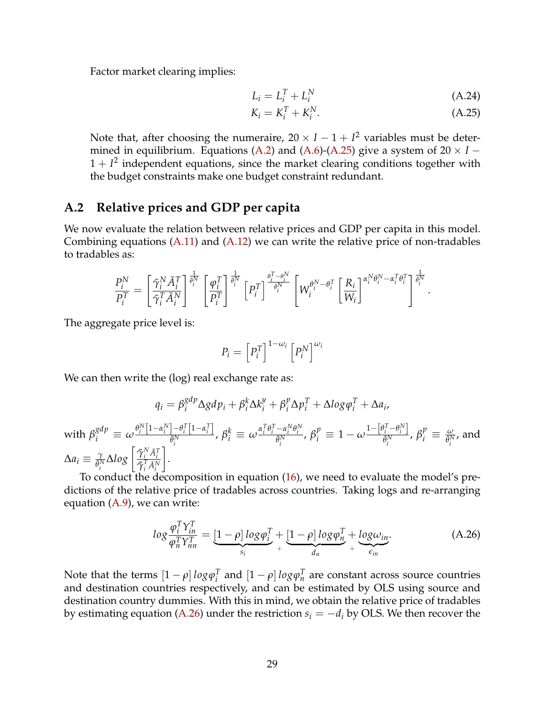Factor market clearing implies:

$$
L_i = L_i^T + L_i^N \tag{A.24}
$$

$$
K_i = K_i^T + K_i^N. \tag{A.25}
$$

<span id="page-30-1"></span><span id="page-30-0"></span>.

Note that, after choosing the numeraire,  $20 \times I - 1 + I^2$  variables must be deter-mined in equilibrium. Equations [\(A.2\)](#page-27-2) and [\(A.6\)](#page-28-0)-[\(A.25\)](#page-30-0) give a system of  $20 \times I$  −  $1 + I<sup>2</sup>$  independent equations, since the market clearing conditions together with the budget constraints make one budget constraint redundant.

## **A.2 Relative prices and GDP per capita**

We now evaluate the relation between relative prices and GDP per capita in this model. Combining equations [\(A.11\)](#page-29-0) and [\(A.12\)](#page-29-1) we can write the relative price of non-tradables to tradables as:

$$
\frac{P_i^N}{P_i^T} = \left[\frac{\bar{\gamma}_i^N \bar{A}_i^T}{\bar{\gamma}_i^T \bar{A}_i^N}\right]^{\frac{1}{\theta_i^N}} \left[\frac{\varphi_i^T}{P_i^T}\right]^{\frac{1}{\theta_i^N}} \left[P_i^T\right]^{\frac{\theta_i^T - \theta_i^N}{\bar{\theta}_i^N}} \left[W_i^{\theta_i^N - \theta_i^T} \left[\frac{R_i}{W_i}\right]^{\alpha_i^N \theta_i^N - \alpha_i^T \theta_i^T}\right]^{\frac{1}{\theta_i^N}}
$$

The aggregate price level is:

$$
P_i = \left[ P_i^T \right]^{1-\omega_i} \left[ P_i^N \right]^{\omega_i}
$$

We can then write the (log) real exchange rate as:

$$
q_i = \beta_i^{gdp} \Delta g dp_i + \beta_i^k \Delta k_i^y + \beta_i^p \Delta p_i^T + \Delta log \varphi_i^T + \Delta a_i,
$$
  
with  $\beta_i^{gdp} \equiv \omega \frac{\theta_i^N [1 - \alpha_i^N] - \theta_i^T [1 - \alpha_i^T]}{\bar{\theta}_i^N}, \beta_i^k \equiv \omega \frac{\alpha_i^T \theta_i^T - \alpha_i^N \theta_i^N}{\bar{\theta}_i^N}, \beta_i^p \equiv 1 - \omega \frac{1 - [\theta_i^T - \theta_i^N]}{\bar{\theta}_i^N}, \beta_i^p \equiv \frac{\omega}{\bar{\theta}_i^N}, \text{ and}$   
 $\Delta a_i \equiv \frac{\gamma}{\bar{\theta}_i^N} \Delta log \left[ \frac{\bar{\gamma}_i^N \bar{A}_i^T}{\bar{\gamma}_i^T \bar{A}_i^N} \right].$ 

To conduct the decomposition in equation [\(16\)](#page-22-0), we need to evaluate the model's predictions of the relative price of tradables across countries. Taking logs and re-arranging equation [\(A.9\)](#page-28-1), we can write:

$$
log \frac{\varphi_i^T Y_{in}^T}{\varphi_n^T Y_{nn}^T} = \underbrace{[1-\rho] log \varphi_i^T}_{s_i} + \underbrace{[1-\rho] log \varphi_n^T}_{d_n} + \underbrace{log \omega_{in}}_{\epsilon_{in}}.
$$
 (A.26)

Note that the terms  $[1 - \rho] \, log \varphi_i^T$  $\int_i^T$  and  $\left[1 - \rho\right] \log \varphi_n^T$  are constant across source countries and destination countries respectively, and can be estimated by OLS using source and destination country dummies. With this in mind, we obtain the relative price of tradables by estimating equation [\(A.26\)](#page-30-1) under the restriction  $s_i = -d_i$  by OLS. We then recover the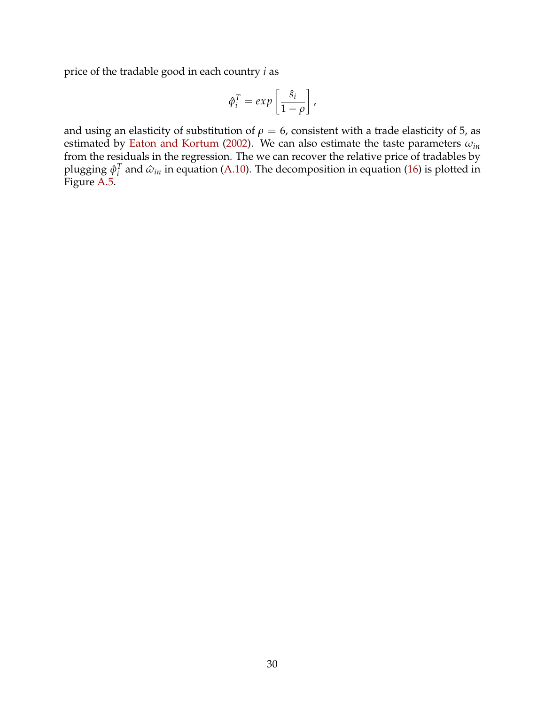price of the tradable good in each country *i* as

$$
\hat{\varphi}_i^T = exp\left[\frac{\hat{s}_i}{1-\rho}\right],
$$

and using an elasticity of substitution of  $\rho = 6$ , consistent with a trade elasticity of 5, as estimated by [Eaton and Kortum](#page-25-12) [\(2002\)](#page-25-12). We can also estimate the taste parameters *ωin* from the residuals in the regression. The we can recover the relative price of tradables by plugging *ϕ*ˆ *T*  $\hat{u}^l_i$  and  $\hat{\omega}_{in}$  in equation [\(A.10\)](#page-29-2). The decomposition in equation [\(16\)](#page-22-0) is plotted in Figure [A.5.](#page-38-0)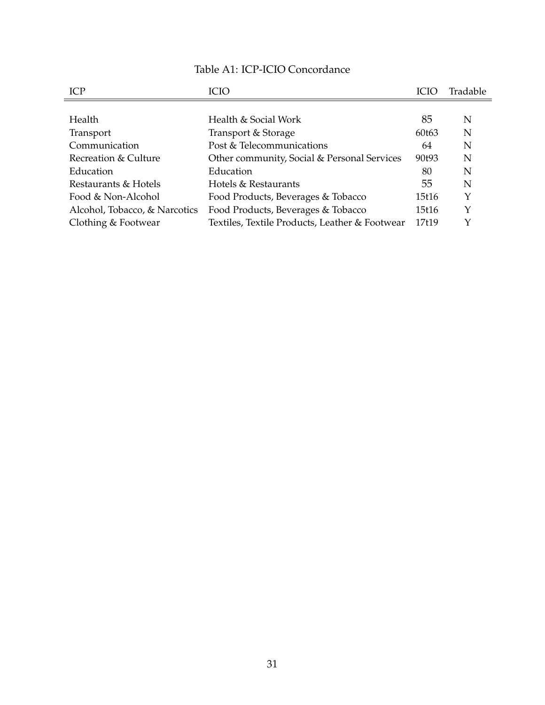| Table A1: ICP-ICIO Concordance |
|--------------------------------|
|--------------------------------|

<span id="page-32-0"></span>

| ICP                           | <b>ICIO</b>                                    | <b>ICIO</b> | Tradable |
|-------------------------------|------------------------------------------------|-------------|----------|
|                               |                                                |             |          |
| <b>Health</b>                 | Health & Social Work                           | 85          | N        |
| Transport                     | Transport & Storage                            | 60t63       | N        |
| Communication                 | Post & Telecommunications                      | 64          | N        |
| Recreation & Culture          | Other community, Social & Personal Services    | 90t93       | N        |
| Education                     | Education                                      | 80          | N        |
| Restaurants & Hotels          | Hotels & Restaurants                           | 55          | N        |
| Food & Non-Alcohol            | Food Products, Beverages & Tobacco             | 15t16       | Y        |
| Alcohol, Tobacco, & Narcotics | Food Products, Beverages & Tobacco             | 15t16       | Y        |
| Clothing & Footwear           | Textiles, Textile Products, Leather & Footwear | 17t19       | Y        |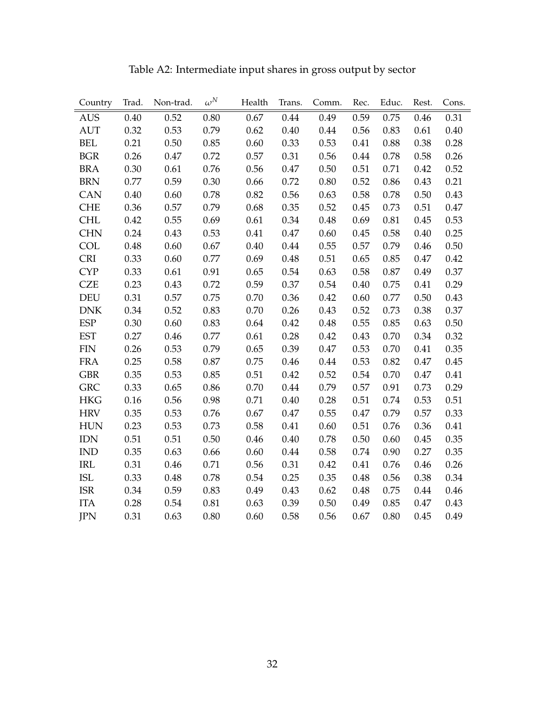<span id="page-33-0"></span>

| Country    | Trad. | Non-trad. | $\omega^N$ | Health | Trans. | Comm. | Rec. | Educ. | Rest.    | Cons. |
|------------|-------|-----------|------------|--------|--------|-------|------|-------|----------|-------|
| <b>AUS</b> | 0.40  | 0.52      | $0.80\,$   | 0.67   | 0.44   | 0.49  | 0.59 | 0.75  | 0.46     | 0.31  |
| <b>AUT</b> | 0.32  | 0.53      | 0.79       | 0.62   | 0.40   | 0.44  | 0.56 | 0.83  | 0.61     | 0.40  |
| <b>BEL</b> | 0.21  | 0.50      | 0.85       | 0.60   | 0.33   | 0.53  | 0.41 | 0.88  | 0.38     | 0.28  |
| <b>BGR</b> | 0.26  | 0.47      | 0.72       | 0.57   | 0.31   | 0.56  | 0.44 | 0.78  | 0.58     | 0.26  |
| <b>BRA</b> | 0.30  | 0.61      | 0.76       | 0.56   | 0.47   | 0.50  | 0.51 | 0.71  | 0.42     | 0.52  |
| <b>BRN</b> | 0.77  | 0.59      | 0.30       | 0.66   | 0.72   | 0.80  | 0.52 | 0.86  | 0.43     | 0.21  |
| CAN        | 0.40  | 0.60      | 0.78       | 0.82   | 0.56   | 0.63  | 0.58 | 0.78  | 0.50     | 0.43  |
| <b>CHE</b> | 0.36  | 0.57      | 0.79       | 0.68   | 0.35   | 0.52  | 0.45 | 0.73  | 0.51     | 0.47  |
| <b>CHL</b> | 0.42  | 0.55      | 0.69       | 0.61   | 0.34   | 0.48  | 0.69 | 0.81  | 0.45     | 0.53  |
| <b>CHN</b> | 0.24  | 0.43      | 0.53       | 0.41   | 0.47   | 0.60  | 0.45 | 0.58  | 0.40     | 0.25  |
| COL        | 0.48  | 0.60      | 0.67       | 0.40   | 0.44   | 0.55  | 0.57 | 0.79  | 0.46     | 0.50  |
| <b>CRI</b> | 0.33  | 0.60      | 0.77       | 0.69   | 0.48   | 0.51  | 0.65 | 0.85  | 0.47     | 0.42  |
| <b>CYP</b> | 0.33  | 0.61      | 0.91       | 0.65   | 0.54   | 0.63  | 0.58 | 0.87  | 0.49     | 0.37  |
| <b>CZE</b> | 0.23  | 0.43      | 0.72       | 0.59   | 0.37   | 0.54  | 0.40 | 0.75  | 0.41     | 0.29  |
| <b>DEU</b> | 0.31  | 0.57      | 0.75       | 0.70   | 0.36   | 0.42  | 0.60 | 0.77  | 0.50     | 0.43  |
| <b>DNK</b> | 0.34  | 0.52      | 0.83       | 0.70   | 0.26   | 0.43  | 0.52 | 0.73  | 0.38     | 0.37  |
| <b>ESP</b> | 0.30  | 0.60      | 0.83       | 0.64   | 0.42   | 0.48  | 0.55 | 0.85  | 0.63     | 0.50  |
| <b>EST</b> | 0.27  | 0.46      | 0.77       | 0.61   | 0.28   | 0.42  | 0.43 | 0.70  | 0.34     | 0.32  |
| <b>FIN</b> | 0.26  | 0.53      | 0.79       | 0.65   | 0.39   | 0.47  | 0.53 | 0.70  | 0.41     | 0.35  |
| <b>FRA</b> | 0.25  | 0.58      | 0.87       | 0.75   | 0.46   | 0.44  | 0.53 | 0.82  | 0.47     | 0.45  |
| <b>GBR</b> | 0.35  | 0.53      | 0.85       | 0.51   | 0.42   | 0.52  | 0.54 | 0.70  | $0.47\,$ | 0.41  |
| <b>GRC</b> | 0.33  | 0.65      | 0.86       | 0.70   | 0.44   | 0.79  | 0.57 | 0.91  | 0.73     | 0.29  |
| <b>HKG</b> | 0.16  | 0.56      | 0.98       | 0.71   | 0.40   | 0.28  | 0.51 | 0.74  | 0.53     | 0.51  |
| <b>HRV</b> | 0.35  | 0.53      | 0.76       | 0.67   | 0.47   | 0.55  | 0.47 | 0.79  | 0.57     | 0.33  |
| <b>HUN</b> | 0.23  | 0.53      | 0.73       | 0.58   | 0.41   | 0.60  | 0.51 | 0.76  | 0.36     | 0.41  |
| <b>IDN</b> | 0.51  | 0.51      | 0.50       | 0.46   | 0.40   | 0.78  | 0.50 | 0.60  | 0.45     | 0.35  |
| <b>IND</b> | 0.35  | 0.63      | 0.66       | 0.60   | 0.44   | 0.58  | 0.74 | 0.90  | 0.27     | 0.35  |
| IRL        | 0.31  | 0.46      | 0.71       | 0.56   | 0.31   | 0.42  | 0.41 | 0.76  | 0.46     | 0.26  |
| <b>ISL</b> | 0.33  | 0.48      | 0.78       | 0.54   | 0.25   | 0.35  | 0.48 | 0.56  | 0.38     | 0.34  |
| <b>ISR</b> | 0.34  | 0.59      | 0.83       | 0.49   | 0.43   | 0.62  | 0.48 | 0.75  | 0.44     | 0.46  |
| <b>ITA</b> | 0.28  | 0.54      | 0.81       | 0.63   | 0.39   | 0.50  | 0.49 | 0.85  | 0.47     | 0.43  |
| <b>JPN</b> | 0.31  | 0.63      | 0.80       | 0.60   | 0.58   | 0.56  | 0.67 | 0.80  | 0.45     | 0.49  |

Table A2: Intermediate input shares in gross output by sector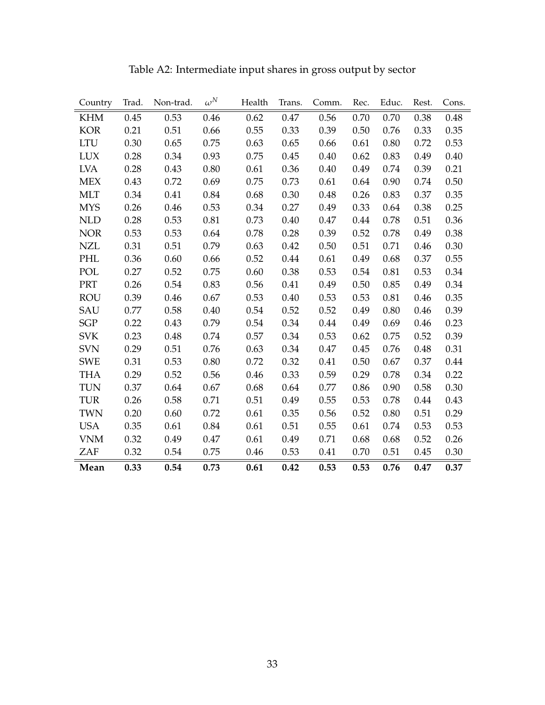| Country    | Trad. | Non-trad. | $\omega^N$ | Health | Trans. | Comm. | Rec. | Educ. | Rest. | Cons. |
|------------|-------|-----------|------------|--------|--------|-------|------|-------|-------|-------|
| <b>KHM</b> | 0.45  | 0.53      | 0.46       | 0.62   | 0.47   | 0.56  | 0.70 | 0.70  | 0.38  | 0.48  |
| <b>KOR</b> | 0.21  | 0.51      | 0.66       | 0.55   | 0.33   | 0.39  | 0.50 | 0.76  | 0.33  | 0.35  |
| <b>LTU</b> | 0.30  | 0.65      | 0.75       | 0.63   | 0.65   | 0.66  | 0.61 | 0.80  | 0.72  | 0.53  |
| <b>LUX</b> | 0.28  | 0.34      | 0.93       | 0.75   | 0.45   | 0.40  | 0.62 | 0.83  | 0.49  | 0.40  |
| <b>LVA</b> | 0.28  | 0.43      | 0.80       | 0.61   | 0.36   | 0.40  | 0.49 | 0.74  | 0.39  | 0.21  |
| <b>MEX</b> | 0.43  | 0.72      | 0.69       | 0.75   | 0.73   | 0.61  | 0.64 | 0.90  | 0.74  | 0.50  |
| <b>MLT</b> | 0.34  | 0.41      | 0.84       | 0.68   | 0.30   | 0.48  | 0.26 | 0.83  | 0.37  | 0.35  |
| <b>MYS</b> | 0.26  | 0.46      | 0.53       | 0.34   | 0.27   | 0.49  | 0.33 | 0.64  | 0.38  | 0.25  |
| <b>NLD</b> | 0.28  | 0.53      | 0.81       | 0.73   | 0.40   | 0.47  | 0.44 | 0.78  | 0.51  | 0.36  |
| <b>NOR</b> | 0.53  | 0.53      | 0.64       | 0.78   | 0.28   | 0.39  | 0.52 | 0.78  | 0.49  | 0.38  |
| <b>NZL</b> | 0.31  | 0.51      | 0.79       | 0.63   | 0.42   | 0.50  | 0.51 | 0.71  | 0.46  | 0.30  |
| PHL        | 0.36  | 0.60      | 0.66       | 0.52   | 0.44   | 0.61  | 0.49 | 0.68  | 0.37  | 0.55  |
| POL        | 0.27  | 0.52      | 0.75       | 0.60   | 0.38   | 0.53  | 0.54 | 0.81  | 0.53  | 0.34  |
| PRT        | 0.26  | 0.54      | 0.83       | 0.56   | 0.41   | 0.49  | 0.50 | 0.85  | 0.49  | 0.34  |
| <b>ROU</b> | 0.39  | 0.46      | 0.67       | 0.53   | 0.40   | 0.53  | 0.53 | 0.81  | 0.46  | 0.35  |
| SAU        | 0.77  | 0.58      | 0.40       | 0.54   | 0.52   | 0.52  | 0.49 | 0.80  | 0.46  | 0.39  |
| <b>SGP</b> | 0.22  | 0.43      | 0.79       | 0.54   | 0.34   | 0.44  | 0.49 | 0.69  | 0.46  | 0.23  |
| <b>SVK</b> | 0.23  | 0.48      | 0.74       | 0.57   | 0.34   | 0.53  | 0.62 | 0.75  | 0.52  | 0.39  |
| <b>SVN</b> | 0.29  | 0.51      | 0.76       | 0.63   | 0.34   | 0.47  | 0.45 | 0.76  | 0.48  | 0.31  |
| <b>SWE</b> | 0.31  | 0.53      | 0.80       | 0.72   | 0.32   | 0.41  | 0.50 | 0.67  | 0.37  | 0.44  |
| <b>THA</b> | 0.29  | 0.52      | 0.56       | 0.46   | 0.33   | 0.59  | 0.29 | 0.78  | 0.34  | 0.22  |
| <b>TUN</b> | 0.37  | 0.64      | 0.67       | 0.68   | 0.64   | 0.77  | 0.86 | 0.90  | 0.58  | 0.30  |
| <b>TUR</b> | 0.26  | 0.58      | 0.71       | 0.51   | 0.49   | 0.55  | 0.53 | 0.78  | 0.44  | 0.43  |
| <b>TWN</b> | 0.20  | 0.60      | 0.72       | 0.61   | 0.35   | 0.56  | 0.52 | 0.80  | 0.51  | 0.29  |
| <b>USA</b> | 0.35  | 0.61      | 0.84       | 0.61   | 0.51   | 0.55  | 0.61 | 0.74  | 0.53  | 0.53  |
| <b>VNM</b> | 0.32  | 0.49      | 0.47       | 0.61   | 0.49   | 0.71  | 0.68 | 0.68  | 0.52  | 0.26  |
| ZAF        | 0.32  | 0.54      | 0.75       | 0.46   | 0.53   | 0.41  | 0.70 | 0.51  | 0.45  | 0.30  |
| Mean       | 0.33  | 0.54      | 0.73       | 0.61   | 0.42   | 0.53  | 0.53 | 0.76  | 0.47  | 0.37  |

Table A2: Intermediate input shares in gross output by sector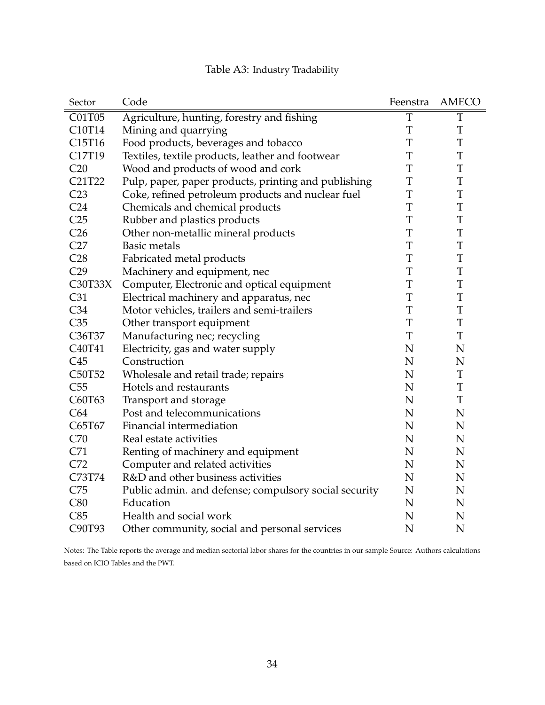<span id="page-35-0"></span>

| Sector                          | Code                                                  | Feenstra    | <b>AMECO</b> |
|---------------------------------|-------------------------------------------------------|-------------|--------------|
| C01T05                          | Agriculture, hunting, forestry and fishing            | T           | T            |
| C <sub>10</sub> T <sub>14</sub> | Mining and quarrying                                  | T           | T            |
| C15T16                          | Food products, beverages and tobacco                  | T           | T            |
| C17T19                          | Textiles, textile products, leather and footwear      | T           | T            |
| C20                             | Wood and products of wood and cork                    | T           | T            |
| C21T22                          | Pulp, paper, paper products, printing and publishing  | $\mathbf T$ | T            |
| C23                             | Coke, refined petroleum products and nuclear fuel     | $\mathbf T$ | T            |
| C <sub>24</sub>                 | Chemicals and chemical products                       | T           | T            |
| C <sub>25</sub>                 | Rubber and plastics products                          | T           | T            |
| C <sub>26</sub>                 | Other non-metallic mineral products                   | $\mathbf T$ | T            |
| C27                             | <b>Basic metals</b>                                   | T           | T            |
| C28                             | Fabricated metal products                             | $\mathbf T$ | T            |
| C29                             | Machinery and equipment, nec                          | T           | T            |
| C30T33X                         | Computer, Electronic and optical equipment            | T           | T            |
| C31                             | Electrical machinery and apparatus, nec               | T           | T            |
| C <sub>34</sub>                 | Motor vehicles, trailers and semi-trailers            | T           | T            |
| C35                             | Other transport equipment                             | T           | T            |
| C36T37                          | Manufacturing nec; recycling                          | T           | T            |
| C40T41                          | Electricity, gas and water supply                     | N           | N            |
| C45                             | Construction                                          | N           | N            |
| C50T52                          | Wholesale and retail trade; repairs                   | N           | T            |
| C55                             | Hotels and restaurants                                | N           | T            |
| C60T63                          | Transport and storage                                 | $\mathbf N$ | T            |
| C64                             | Post and telecommunications                           | $\mathbf N$ | $\mathbf N$  |
| C65T67                          | Financial intermediation                              | N           | N            |
| C70                             | Real estate activities                                | $\mathbf N$ | $\mathbf N$  |
| C71                             | Renting of machinery and equipment                    | N           | N            |
| C72                             | Computer and related activities                       | $\mathbf N$ | N            |
| C73T74                          | R&D and other business activities                     | $\mathbf N$ | $\mathbf N$  |
| C75                             | Public admin. and defense; compulsory social security | ${\bf N}$   | N            |
| C80                             | Education                                             | N           | N            |
| C85                             | Health and social work                                | N           | N            |
| C90T93                          | Other community, social and personal services         | $\mathbf N$ | N            |

## Table A3: Industry Tradability

Notes: The Table reports the average and median sectorial labor shares for the countries in our sample Source: Authors calculations based on ICIO Tables and the PWT.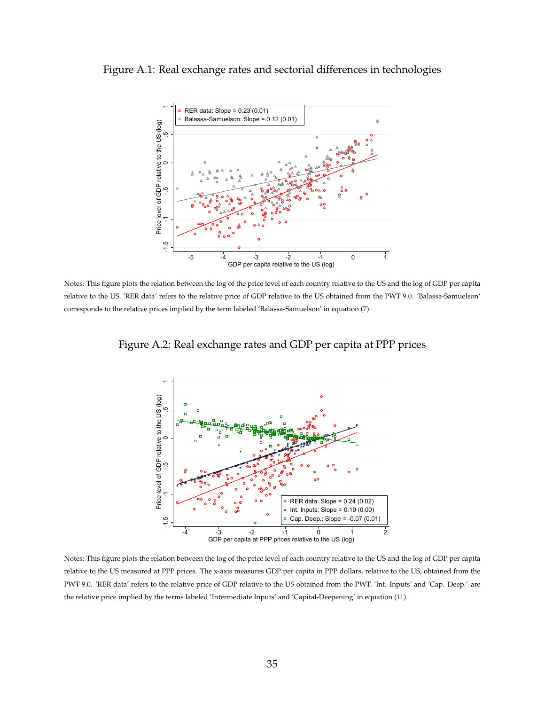#### <span id="page-36-0"></span>Figure A.1: Real exchange rates and sectorial differences in technologies



<span id="page-36-1"></span>Notes: This figure plots the relation between the log of the price level of each country relative to the US and the log of GDP per capita relative to the US. 'RER data' refers to the relative price of GDP relative to the US obtained from the PWT 9.0. 'Balassa-Samuelson' corresponds to the relative prices implied by the term labeled 'Balassa-Samuelson' in equation [\(7\)](#page-10-3).

Figure A.2: Real exchange rates and GDP per capita at PPP prices



Notes: This figure plots the relation between the log of the price level of each country relative to the US and the log of GDP per capita relative to the US measured at PPP prices. The x-axis measures GDP per capita in PPP dollars, relative to the US, obtained from the PWT 9.0. 'RER data' refers to the relative price of GDP relative to the US obtained from the PWT. 'Int. Inputs' and 'Cap. Deep.' are the relative price implied by the terms labeled 'Intermediate Inputs' and 'Capital-Deepening' in equation [\(11\)](#page-21-0).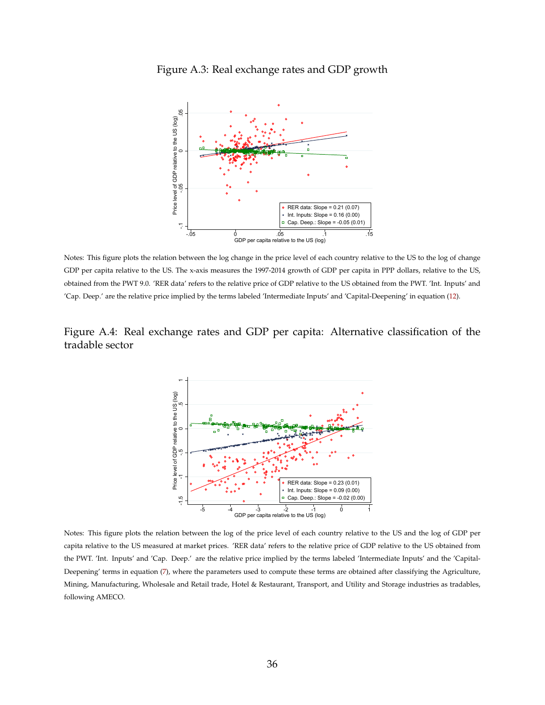

<span id="page-37-0"></span>Figure A.3: Real exchange rates and GDP growth

Notes: This figure plots the relation between the log change in the price level of each country relative to the US to the log of change GDP per capita relative to the US. The x-axis measures the 1997-2014 growth of GDP per capita in PPP dollars, relative to the US, obtained from the PWT 9.0. 'RER data' refers to the relative price of GDP relative to the US obtained from the PWT. 'Int. Inputs' and 'Cap. Deep.' are the relative price implied by the terms labeled 'Intermediate Inputs' and 'Capital-Deepening' in equation [\(12\)](#page-21-1).

### <span id="page-37-1"></span>Figure A.4: Real exchange rates and GDP per capita: Alternative classification of the tradable sector



Notes: This figure plots the relation between the log of the price level of each country relative to the US and the log of GDP per capita relative to the US measured at market prices. 'RER data' refers to the relative price of GDP relative to the US obtained from the PWT. 'Int. Inputs' and 'Cap. Deep.' are the relative price implied by the terms labeled 'Intermediate Inputs' and the 'Capital-Deepening' terms in equation [\(7\)](#page-10-3), where the parameters used to compute these terms are obtained after classifying the Agriculture, Mining, Manufacturing, Wholesale and Retail trade, Hotel & Restaurant, Transport, and Utility and Storage industries as tradables, following AMECO.